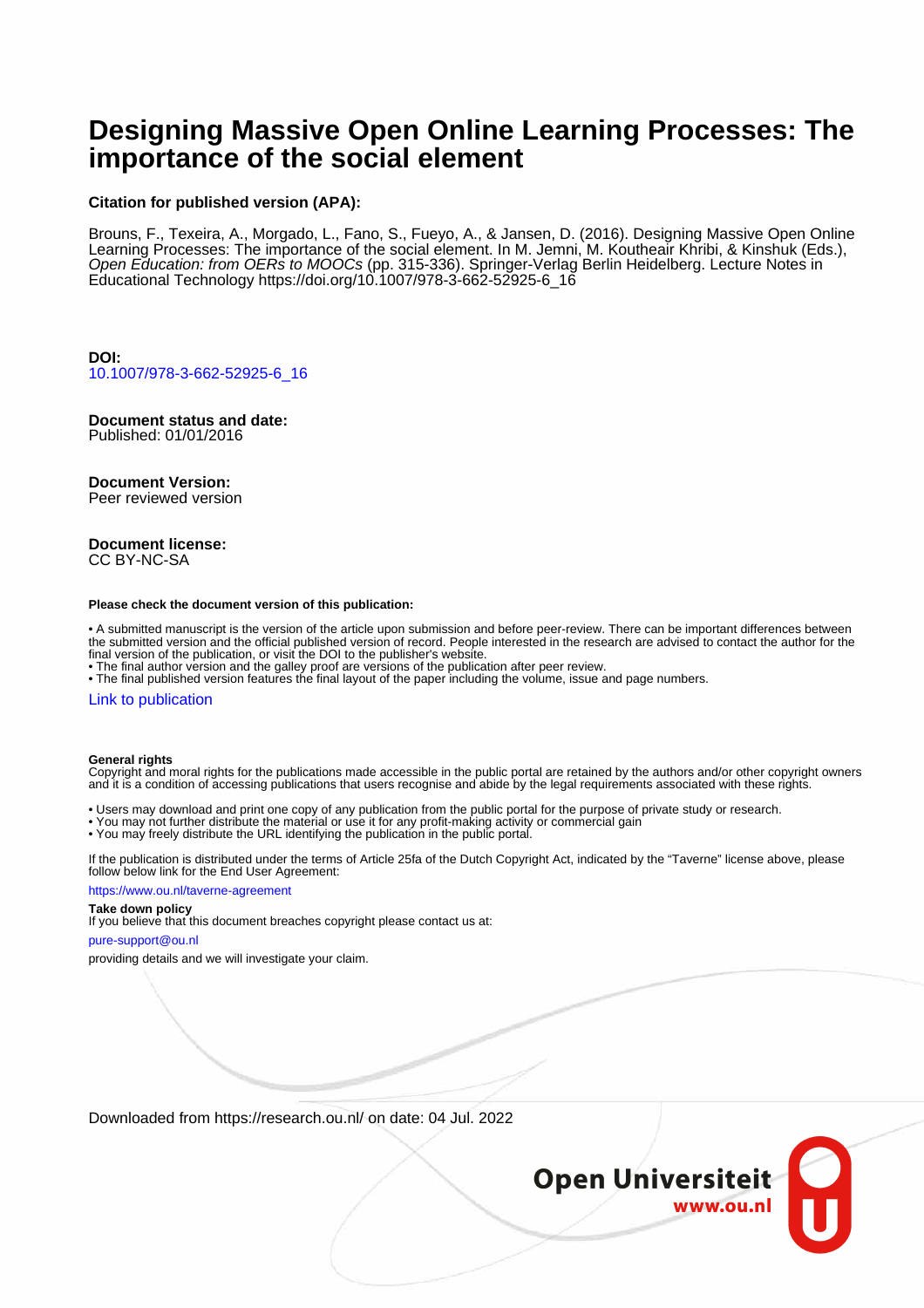# **Designing Massive Open Online Learning Processes: The importance of the social element**

#### **Citation for published version (APA):**

Brouns, F., Texeira, A., Morgado, L., Fano, S., Fueyo, A., & Jansen, D. (2016). Designing Massive Open Online Learning Processes: The importance of the social element. In M. Jemni, M. Koutheair Khribi, & Kinshuk (Eds.), Open Education: from OERs to MOOCs (pp. 315-336). Springer-Verlag Berlin Heidelberg. Lecture Notes in Educational Technology [https://doi.org/10.1007/978-3-662-52925-6\\_16](https://doi.org/10.1007/978-3-662-52925-6_16)

**DOI:** [10.1007/978-3-662-52925-6\\_16](https://doi.org/10.1007/978-3-662-52925-6_16)

# **Document status and date:**

Published: 01/01/2016

#### **Document Version:**

Peer reviewed version

#### **Document license:** CC BY-NC-SA

#### **Please check the document version of this publication:**

• A submitted manuscript is the version of the article upon submission and before peer-review. There can be important differences between the submitted version and the official published version of record. People interested in the research are advised to contact the author for the final version of the publication, or visit the DOI to the publisher's website.

• The final author version and the galley proof are versions of the publication after peer review.

• The final published version features the final layout of the paper including the volume, issue and page numbers.

#### [Link to publication](https://research.ou.nl/en/publications/80cd9e32-56e5-4b7c-8946-2125abd08f1c)

#### **General rights**

Copyright and moral rights for the publications made accessible in the public portal are retained by the authors and/or other copyright owners and it is a condition of accessing publications that users recognise and abide by the legal requirements associated with these rights.

- Users may download and print one copy of any publication from the public portal for the purpose of private study or research.
- You may not further distribute the material or use it for any profit-making activity or commercial gain
- You may freely distribute the URL identifying the publication in the public portal.

If the publication is distributed under the terms of Article 25fa of the Dutch Copyright Act, indicated by the "Taverne" license above, please follow below link for the End User Agreement:

#### https://www.ou.nl/taverne-agreement

#### **Take down policy**

If you believe that this document breaches copyright please contact us at:

#### pure-support@ou.nl

providing details and we will investigate your claim.

Downloaded from https://research.ou.nl/ on date: 04 Jul. 2022

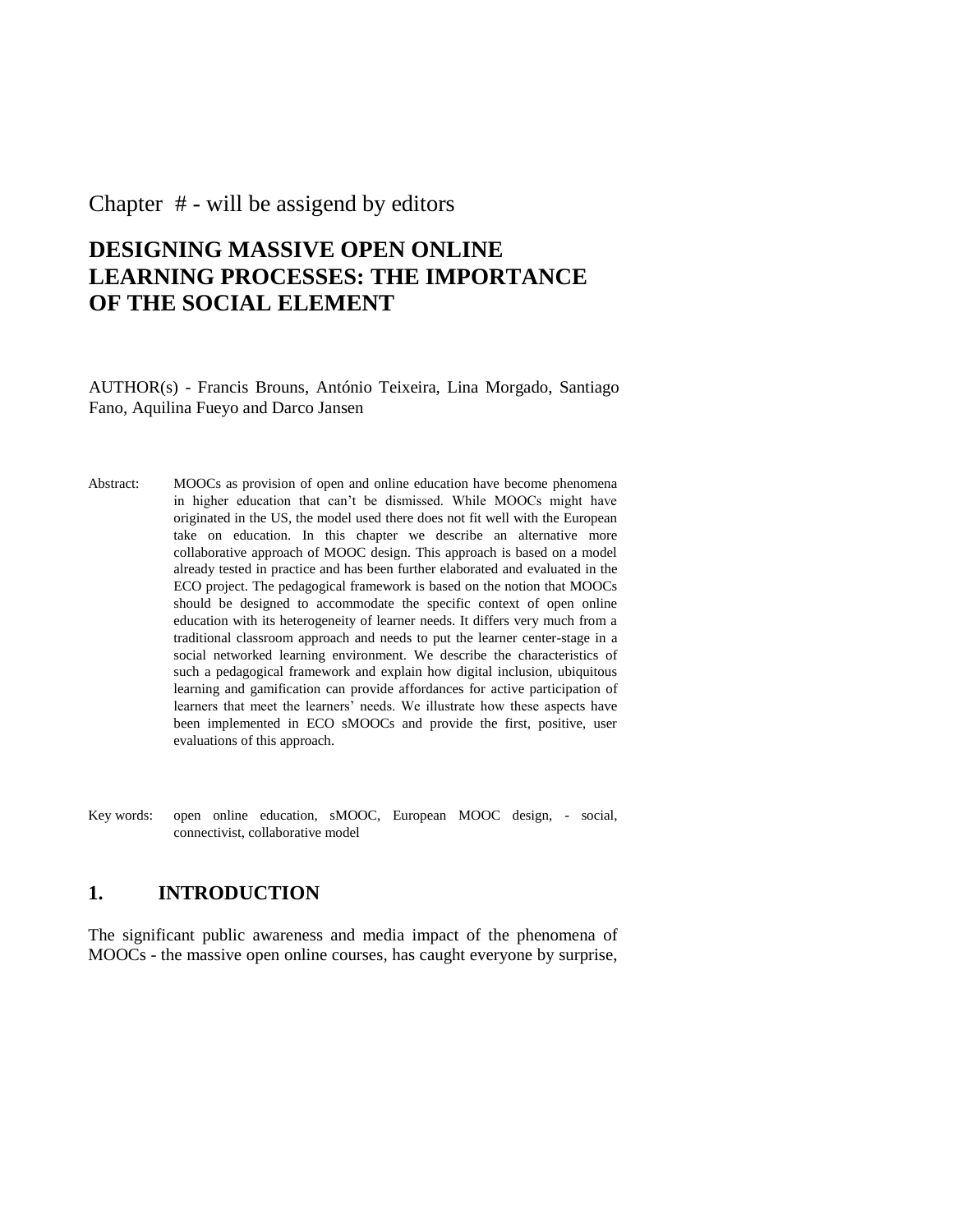# Chapter # - will be assigend by editors

# **DESIGNING MASSIVE OPEN ONLINE LEARNING PROCESSES: THE IMPORTANCE OF THE SOCIAL ELEMENT**

AUTHOR(s) - Francis Brouns, António Teixeira, Lina Morgado, Santiago Fano, Aquilina Fueyo and Darco Jansen

- Abstract: MOOCs as provision of open and online education have become phenomena in higher education that can't be dismissed. While MOOCs might have originated in the US, the model used there does not fit well with the European take on education. In this chapter we describe an alternative more collaborative approach of MOOC design. This approach is based on a model already tested in practice and has been further elaborated and evaluated in the ECO project. The pedagogical framework is based on the notion that MOOCs should be designed to accommodate the specific context of open online education with its heterogeneity of learner needs. It differs very much from a traditional classroom approach and needs to put the learner center-stage in a social networked learning environment. We describe the characteristics of such a pedagogical framework and explain how digital inclusion, ubiquitous learning and gamification can provide affordances for active participation of learners that meet the learners' needs. We illustrate how these aspects have been implemented in ECO sMOOCs and provide the first, positive, user evaluations of this approach.
- Key words: open online education, sMOOC, European MOOC design, social, connectivist, collaborative model

# **1. INTRODUCTION**

The significant public awareness and media impact of the phenomena of MOOCs - the massive open online courses, has caught everyone by surprise,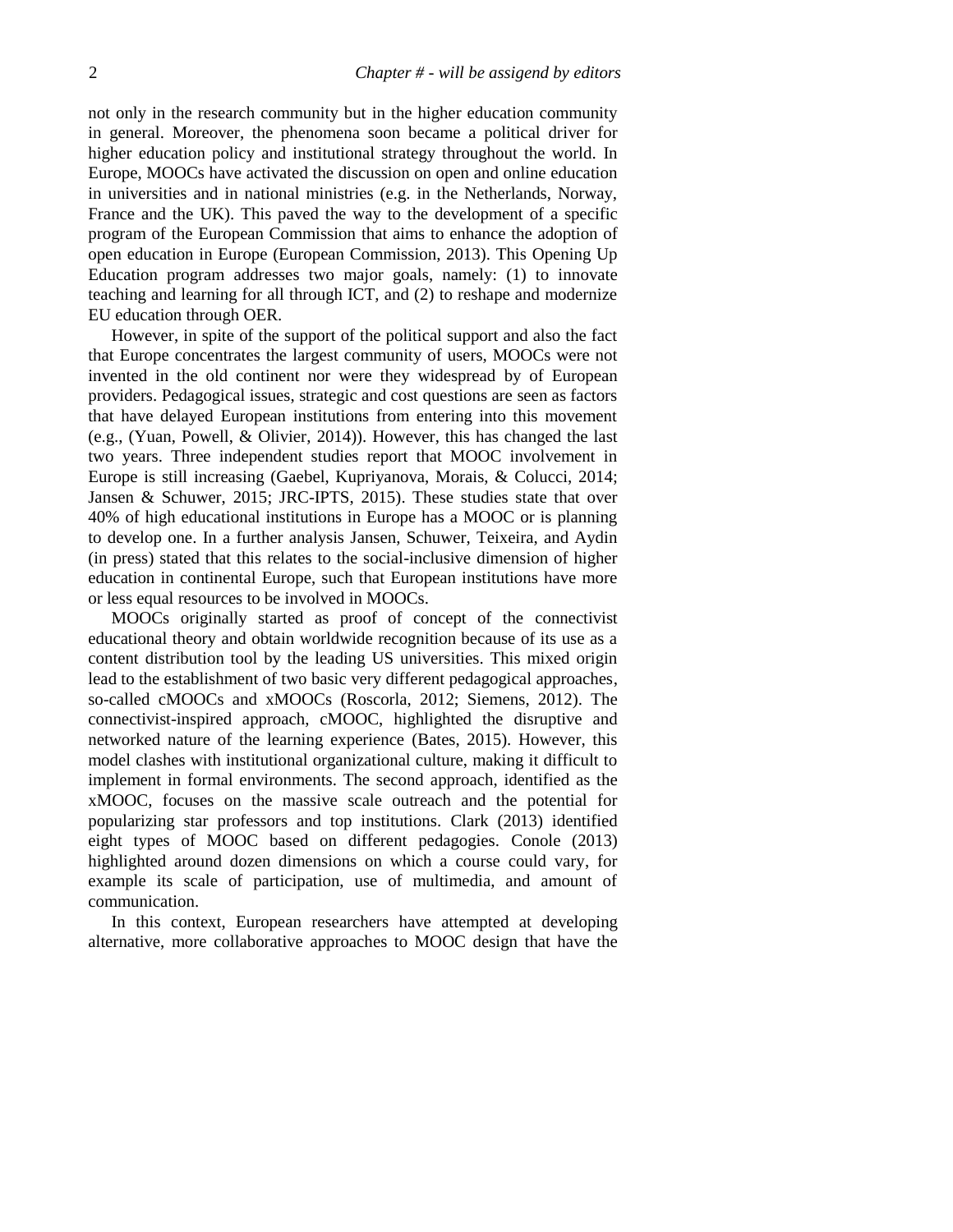not only in the research community but in the higher education community in general. Moreover, the phenomena soon became a political driver for higher education policy and institutional strategy throughout the world. In Europe, MOOCs have activated the discussion on open and online education in universities and in national ministries (e.g. in the Netherlands, Norway, France and the UK). This paved the way to the development of a specific program of the European Commission that aims to enhance the adoption of open education in Europe (European Commission, 2013). This Opening Up Education program addresses two major goals, namely: (1) to innovate teaching and learning for all through ICT, and (2) to reshape and modernize EU education through OER.

However, in spite of the support of the political support and also the fact that Europe concentrates the largest community of users, MOOCs were not invented in the old continent nor were they widespread by of European providers. Pedagogical issues, strategic and cost questions are seen as factors that have delayed European institutions from entering into this movement (e.g., (Yuan, Powell, & Olivier, 2014)). However, this has changed the last two years. Three independent studies report that MOOC involvement in Europe is still increasing (Gaebel, Kupriyanova, Morais, & Colucci, 2014; Jansen & Schuwer, 2015; JRC-IPTS, 2015). These studies state that over 40% of high educational institutions in Europe has a MOOC or is planning to develop one. In a further analysis Jansen, Schuwer, Teixeira, and Aydin (in press) stated that this relates to the social-inclusive dimension of higher education in continental Europe, such that European institutions have more or less equal resources to be involved in MOOCs.

MOOCs originally started as proof of concept of the connectivist educational theory and obtain worldwide recognition because of its use as a content distribution tool by the leading US universities. This mixed origin lead to the establishment of two basic very different pedagogical approaches, so-called cMOOCs and xMOOCs (Roscorla, 2012; Siemens, 2012). The connectivist-inspired approach, cMOOC, highlighted the disruptive and networked nature of the learning experience (Bates, 2015). However, this model clashes with institutional organizational culture, making it difficult to implement in formal environments. The second approach, identified as the xMOOC, focuses on the massive scale outreach and the potential for popularizing star professors and top institutions. Clark (2013) identified eight types of MOOC based on different pedagogies. Conole (2013) highlighted around dozen dimensions on which a course could vary, for example its scale of participation, use of multimedia, and amount of communication.

In this context, European researchers have attempted at developing alternative, more collaborative approaches to MOOC design that have the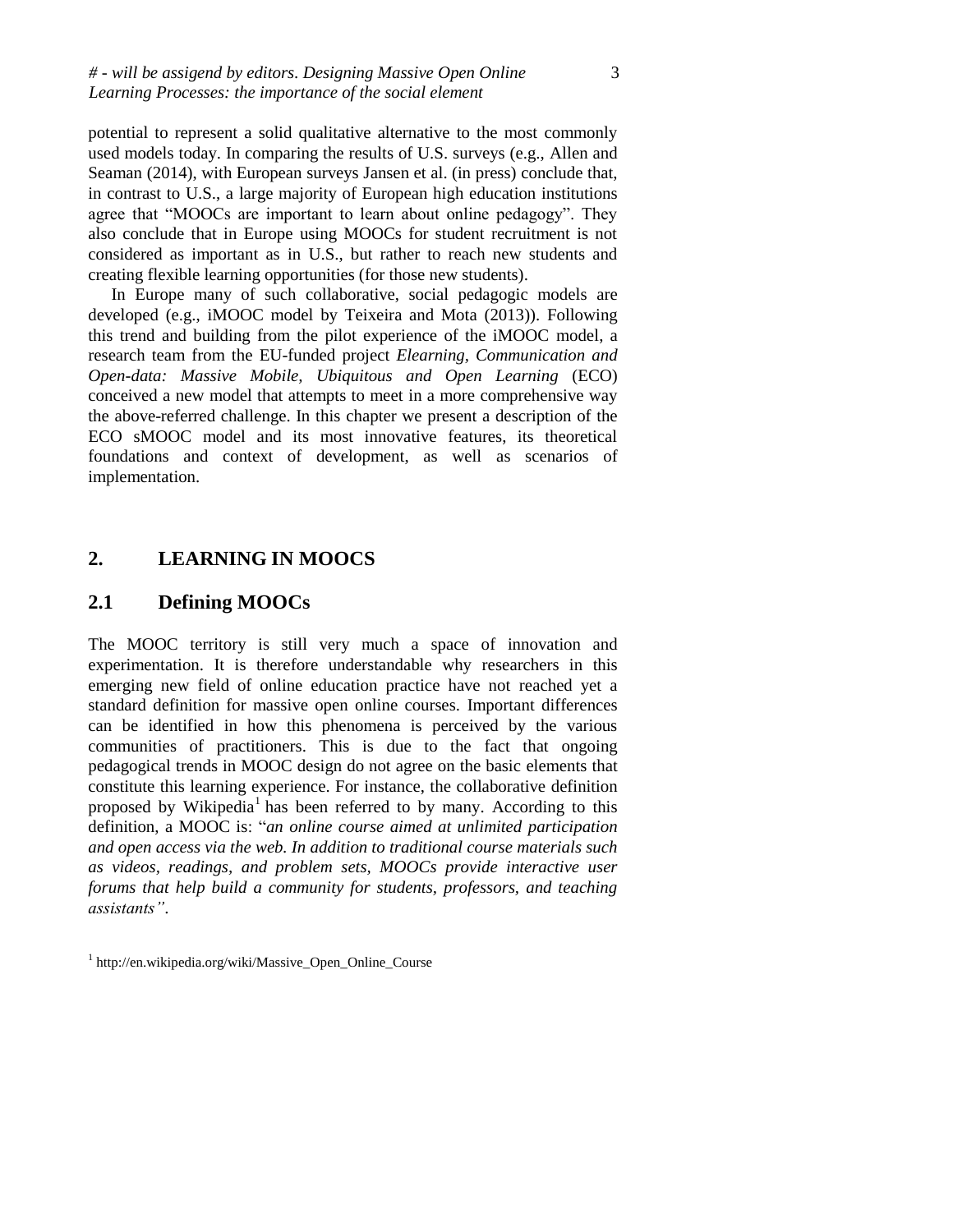potential to represent a solid qualitative alternative to the most commonly used models today. In comparing the results of U.S. surveys (e.g., Allen and Seaman (2014), with European surveys Jansen et al. (in press) conclude that, in contrast to U.S., a large majority of European high education institutions agree that "MOOCs are important to learn about online pedagogy". They also conclude that in Europe using MOOCs for student recruitment is not considered as important as in U.S., but rather to reach new students and creating flexible learning opportunities (for those new students).

In Europe many of such collaborative, social pedagogic models are developed (e.g., iMOOC model by Teixeira and Mota (2013)). Following this trend and building from the pilot experience of the iMOOC model, a research team from the EU-funded project *Elearning, Communication and Open-data: Massive Mobile, Ubiquitous and Open Learning* (ECO) conceived a new model that attempts to meet in a more comprehensive way the above-referred challenge. In this chapter we present a description of the ECO sMOOC model and its most innovative features, its theoretical foundations and context of development, as well as scenarios of implementation.

## **2. LEARNING IN MOOCS**

### **2.1 Defining MOOCs**

The MOOC territory is still very much a space of innovation and experimentation. It is therefore understandable why researchers in this emerging new field of online education practice have not reached yet a standard definition for massive open online courses. Important differences can be identified in how this phenomena is perceived by the various communities of practitioners. This is due to the fact that ongoing pedagogical trends in MOOC design do not agree on the basic elements that constitute this learning experience. For instance, the collaborative definition proposed by Wikipedia<sup>1</sup> has been referred to by many. According to this definition, a MOOC is: "*an online course aimed at unlimited participation and open access via the web. In addition to traditional course materials such as videos, readings, and problem sets, MOOCs provide interactive user forums that help build a community for students, professors, and teaching assistants"*.

<sup>1</sup> http://en.wikipedia.org/wiki/Massive\_Open\_Online\_Course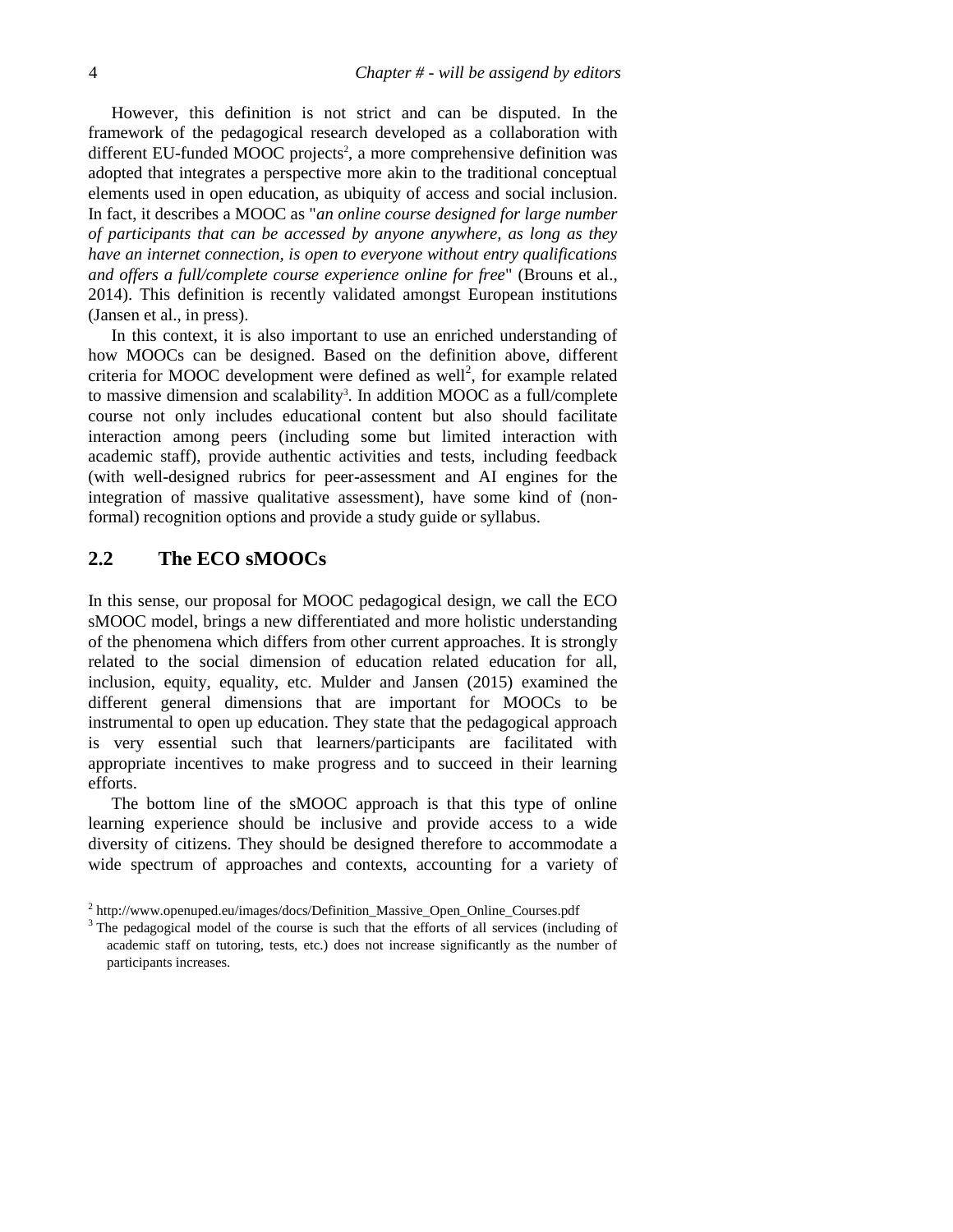However, this definition is not strict and can be disputed. In the framework of the pedagogical research developed as a collaboration with different EU-funded MOOC projects<sup>2</sup>, a more comprehensive definition was adopted that integrates a perspective more akin to the traditional conceptual elements used in open education, as ubiquity of access and social inclusion. In fact, it describes a MOOC as "*an online course designed for large number of participants that can be accessed by anyone anywhere, as long as they have an internet connection, is open to everyone without entry qualifications and offers a full/complete course experience online for free*" (Brouns et al., 2014). This definition is recently validated amongst European institutions (Jansen et al., in press).

In this context, it is also important to use an enriched understanding of how MOOCs can be designed. Based on the definition above, different criteria for MOOC development were defined as well<sup>2</sup>, for example related to massive dimension and scalability<sup>3</sup>. In addition MOOC as a full/complete course not only includes educational content but also should facilitate interaction among peers (including some but limited interaction with academic staff), provide authentic activities and tests, including feedback (with well-designed rubrics for peer-assessment and AI engines for the integration of massive qualitative assessment), have some kind of (nonformal) recognition options and provide a study guide or syllabus.

## **2.2 The ECO sMOOCs**

In this sense, our proposal for MOOC pedagogical design, we call the ECO sMOOC model, brings a new differentiated and more holistic understanding of the phenomena which differs from other current approaches. It is strongly related to the social dimension of education related education for all, inclusion, equity, equality, etc. Mulder and Jansen (2015) examined the different general dimensions that are important for MOOCs to be instrumental to open up education. They state that the pedagogical approach is very essential such that learners/participants are facilitated with appropriate incentives to make progress and to succeed in their learning efforts.

The bottom line of the sMOOC approach is that this type of online learning experience should be inclusive and provide access to a wide diversity of citizens. They should be designed therefore to accommodate a wide spectrum of approaches and contexts, accounting for a variety of

<sup>&</sup>lt;sup>2</sup> http://www.openuped.eu/images/docs/Definition\_Massive\_Open\_Online\_Courses.pdf

<sup>&</sup>lt;sup>3</sup> The pedagogical model of the course is such that the efforts of all services (including of academic staff on tutoring, tests, etc.) does not increase significantly as the number of participants increases.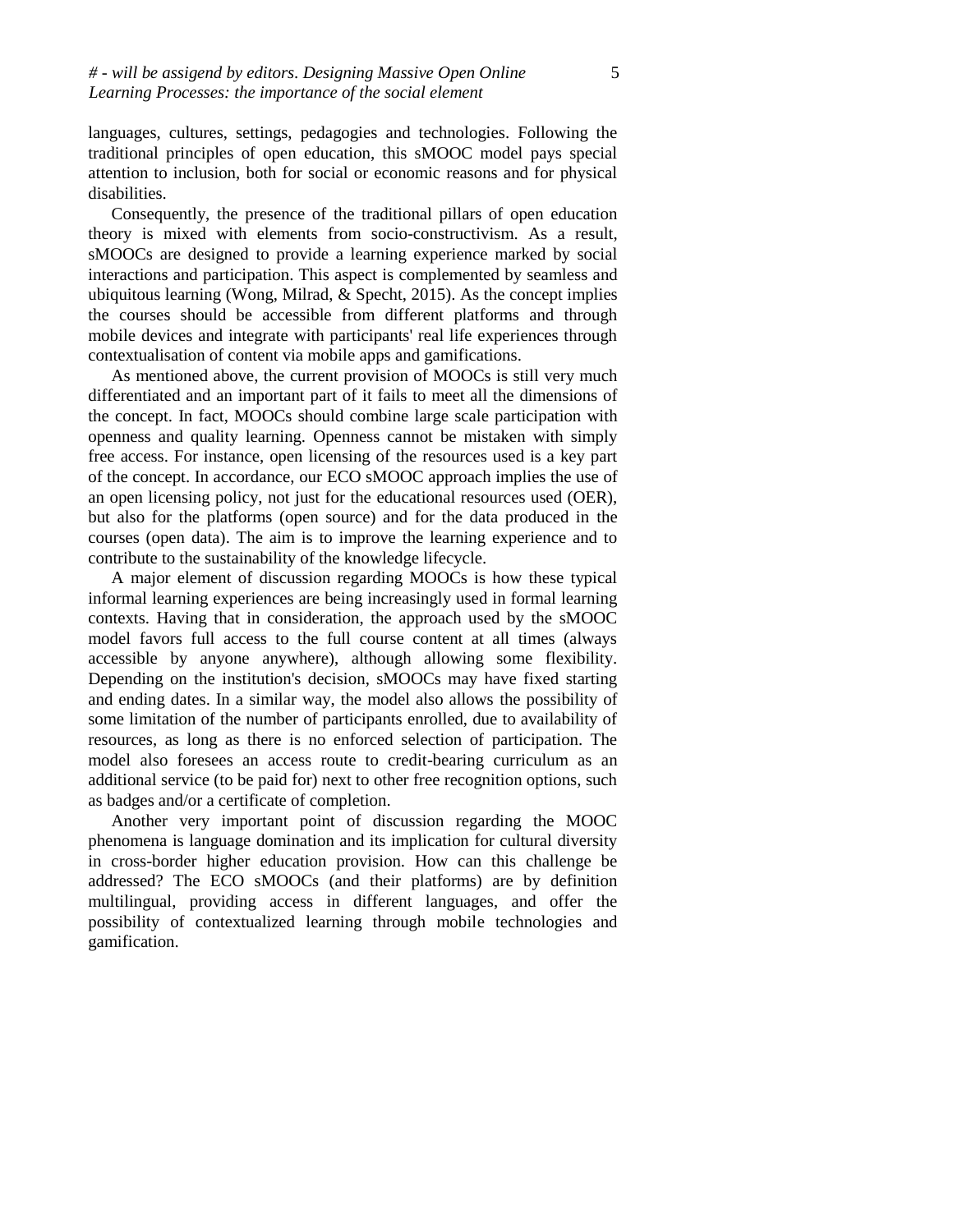languages, cultures, settings, pedagogies and technologies. Following the traditional principles of open education, this sMOOC model pays special attention to inclusion, both for social or economic reasons and for physical disabilities.

Consequently, the presence of the traditional pillars of open education theory is mixed with elements from socio-constructivism. As a result, sMOOCs are designed to provide a learning experience marked by social interactions and participation. This aspect is complemented by seamless and ubiquitous learning (Wong, Milrad,  $\&$  Specht, 2015). As the concept implies the courses should be accessible from different platforms and through mobile devices and integrate with participants' real life experiences through contextualisation of content via mobile apps and gamifications.

As mentioned above, the current provision of MOOCs is still very much differentiated and an important part of it fails to meet all the dimensions of the concept. In fact, MOOCs should combine large scale participation with openness and quality learning. Openness cannot be mistaken with simply free access. For instance, open licensing of the resources used is a key part of the concept. In accordance, our ECO sMOOC approach implies the use of an open licensing policy, not just for the educational resources used (OER), but also for the platforms (open source) and for the data produced in the courses (open data). The aim is to improve the learning experience and to contribute to the sustainability of the knowledge lifecycle.

A major element of discussion regarding MOOCs is how these typical informal learning experiences are being increasingly used in formal learning contexts. Having that in consideration, the approach used by the sMOOC model favors full access to the full course content at all times (always accessible by anyone anywhere), although allowing some flexibility. Depending on the institution's decision, sMOOCs may have fixed starting and ending dates. In a similar way, the model also allows the possibility of some limitation of the number of participants enrolled, due to availability of resources, as long as there is no enforced selection of participation. The model also foresees an access route to credit-bearing curriculum as an additional service (to be paid for) next to other free recognition options, such as badges and/or a certificate of completion.

Another very important point of discussion regarding the MOOC phenomena is language domination and its implication for cultural diversity in cross-border higher education provision. How can this challenge be addressed? The ECO sMOOCs (and their platforms) are by definition multilingual, providing access in different languages, and offer the possibility of contextualized learning through mobile technologies and gamification.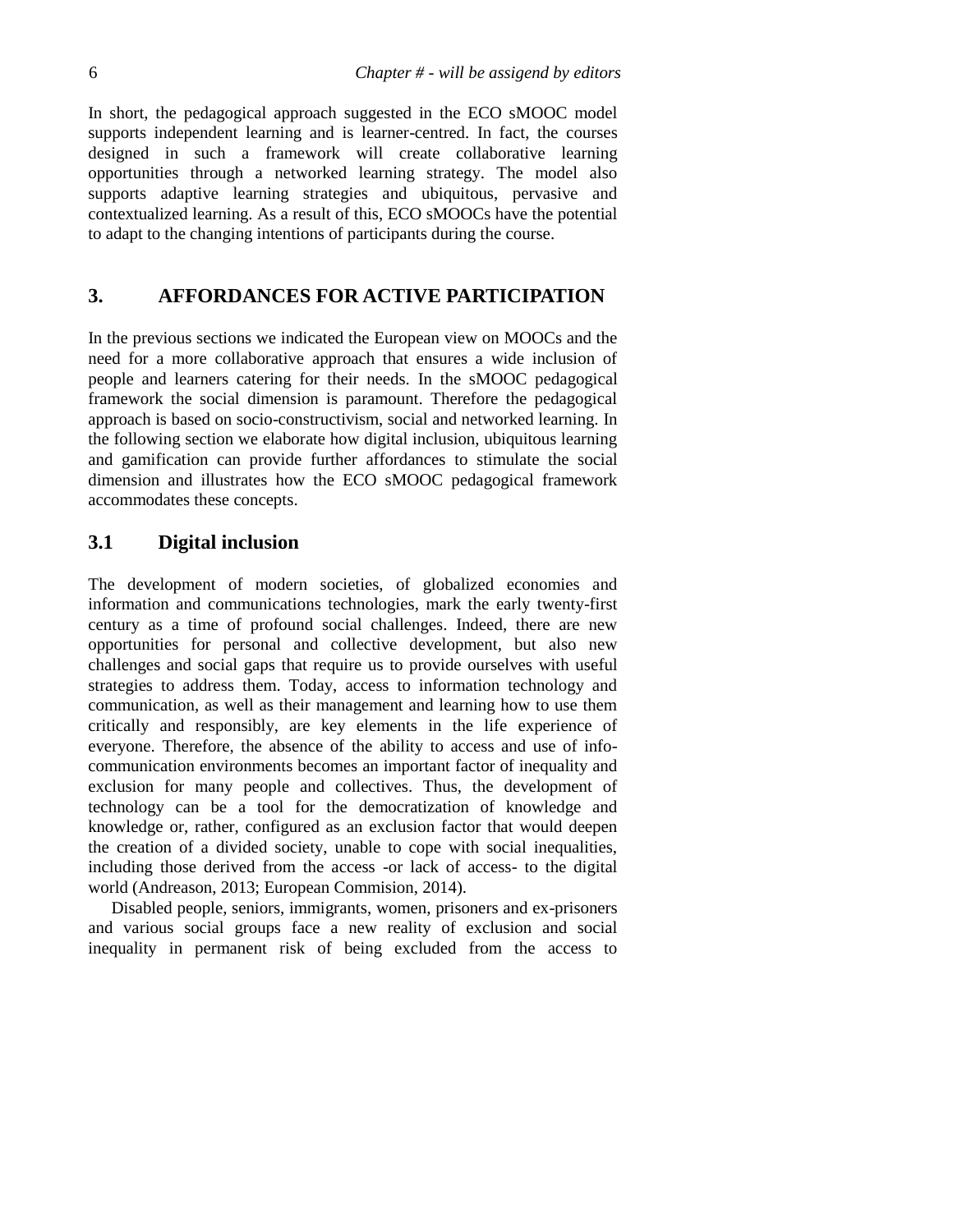In short, the pedagogical approach suggested in the ECO sMOOC model supports independent learning and is learner-centred. In fact, the courses designed in such a framework will create collaborative learning opportunities through a networked learning strategy. The model also supports adaptive learning strategies and ubiquitous, pervasive and contextualized learning. As a result of this, ECO sMOOCs have the potential to adapt to the changing intentions of participants during the course.

## **3. AFFORDANCES FOR ACTIVE PARTICIPATION**

In the previous sections we indicated the European view on MOOCs and the need for a more collaborative approach that ensures a wide inclusion of people and learners catering for their needs. In the sMOOC pedagogical framework the social dimension is paramount. Therefore the pedagogical approach is based on socio-constructivism, social and networked learning. In the following section we elaborate how digital inclusion, ubiquitous learning and gamification can provide further affordances to stimulate the social dimension and illustrates how the ECO sMOOC pedagogical framework accommodates these concepts.

### **3.1 Digital inclusion**

The development of modern societies, of globalized economies and information and communications technologies, mark the early twenty-first century as a time of profound social challenges. Indeed, there are new opportunities for personal and collective development, but also new challenges and social gaps that require us to provide ourselves with useful strategies to address them. Today, access to information technology and communication, as well as their management and learning how to use them critically and responsibly, are key elements in the life experience of everyone. Therefore, the absence of the ability to access and use of infocommunication environments becomes an important factor of inequality and exclusion for many people and collectives. Thus, the development of technology can be a tool for the democratization of knowledge and knowledge or, rather, configured as an exclusion factor that would deepen the creation of a divided society, unable to cope with social inequalities, including those derived from the access -or lack of access- to the digital world (Andreason, 2013; European Commision, 2014).

Disabled people, seniors, immigrants, women, prisoners and ex-prisoners and various social groups face a new reality of exclusion and social inequality in permanent risk of being excluded from the access to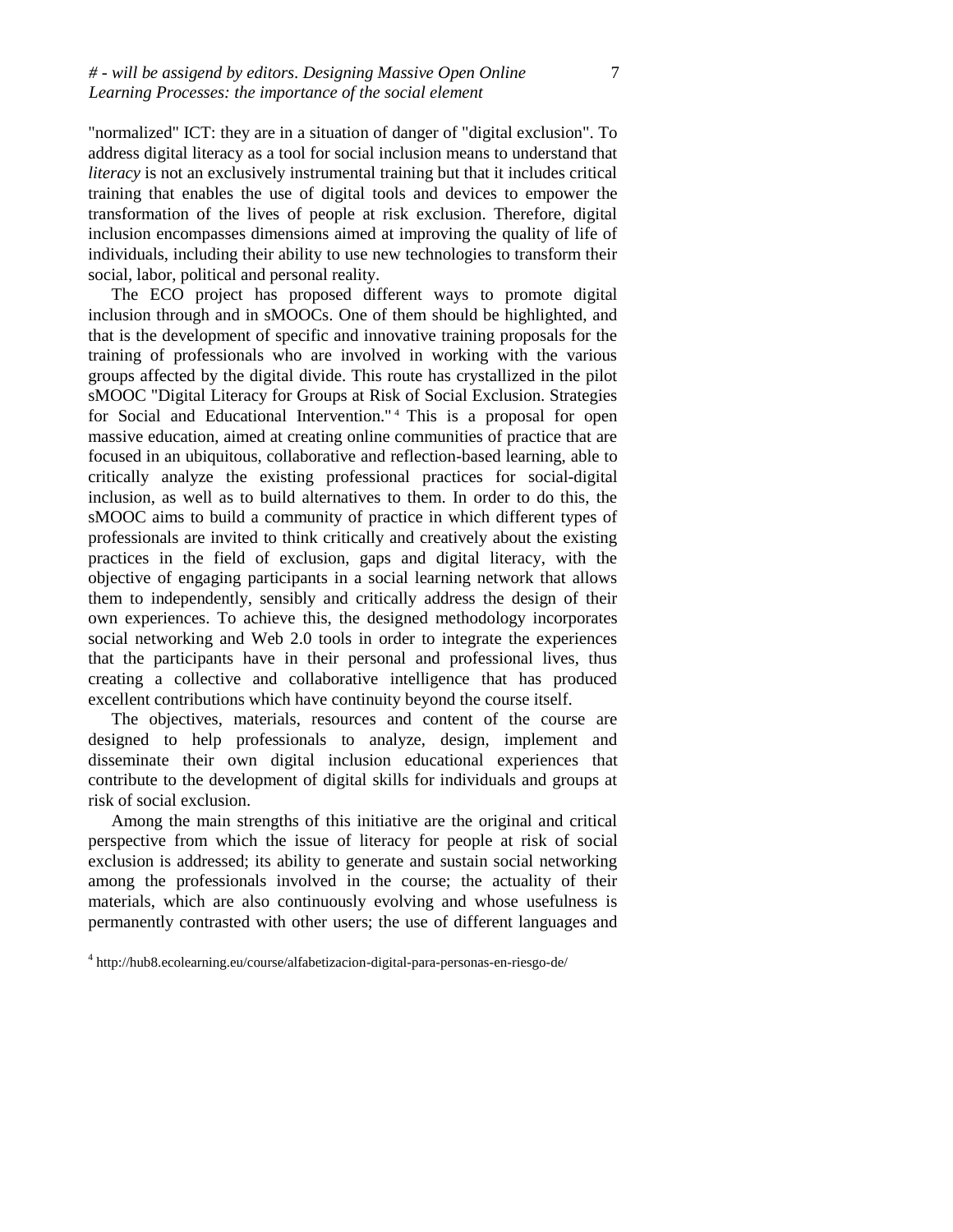#### *# - will be assigend by editors. Designing Massive Open Online Learning Processes: the importance of the social element*

"normalized" ICT: they are in a situation of danger of "digital exclusion". To address digital literacy as a tool for social inclusion means to understand that *literacy* is not an exclusively instrumental training but that it includes critical training that enables the use of digital tools and devices to empower the transformation of the lives of people at risk exclusion. Therefore, digital inclusion encompasses dimensions aimed at improving the quality of life of individuals, including their ability to use new technologies to transform their social, labor, political and personal reality.

The ECO project has proposed different ways to promote digital inclusion through and in sMOOCs. One of them should be highlighted, and that is the development of specific and innovative training proposals for the training of professionals who are involved in working with the various groups affected by the digital divide. This route has crystallized in the pilot sMOOC "Digital Literacy for Groups at Risk of Social Exclusion. Strategies for Social and Educational Intervention."<sup>4</sup> This is a proposal for open massive education, aimed at creating online communities of practice that are focused in an ubiquitous, collaborative and reflection-based learning, able to critically analyze the existing professional practices for social-digital inclusion, as well as to build alternatives to them. In order to do this, the sMOOC aims to build a community of practice in which different types of professionals are invited to think critically and creatively about the existing practices in the field of exclusion, gaps and digital literacy, with the objective of engaging participants in a social learning network that allows them to independently, sensibly and critically address the design of their own experiences. To achieve this, the designed methodology incorporates social networking and Web 2.0 tools in order to integrate the experiences that the participants have in their personal and professional lives, thus creating a collective and collaborative intelligence that has produced excellent contributions which have continuity beyond the course itself.

The objectives, materials, resources and content of the course are designed to help professionals to analyze, design, implement and disseminate their own digital inclusion educational experiences that contribute to the development of digital skills for individuals and groups at risk of social exclusion.

Among the main strengths of this initiative are the original and critical perspective from which the issue of literacy for people at risk of social exclusion is addressed; its ability to generate and sustain social networking among the professionals involved in the course; the actuality of their materials, which are also continuously evolving and whose usefulness is permanently contrasted with other users; the use of different languages and

<sup>4</sup> http://hub8.ecolearning.eu/course/alfabetizacion-digital-para-personas-en-riesgo-de/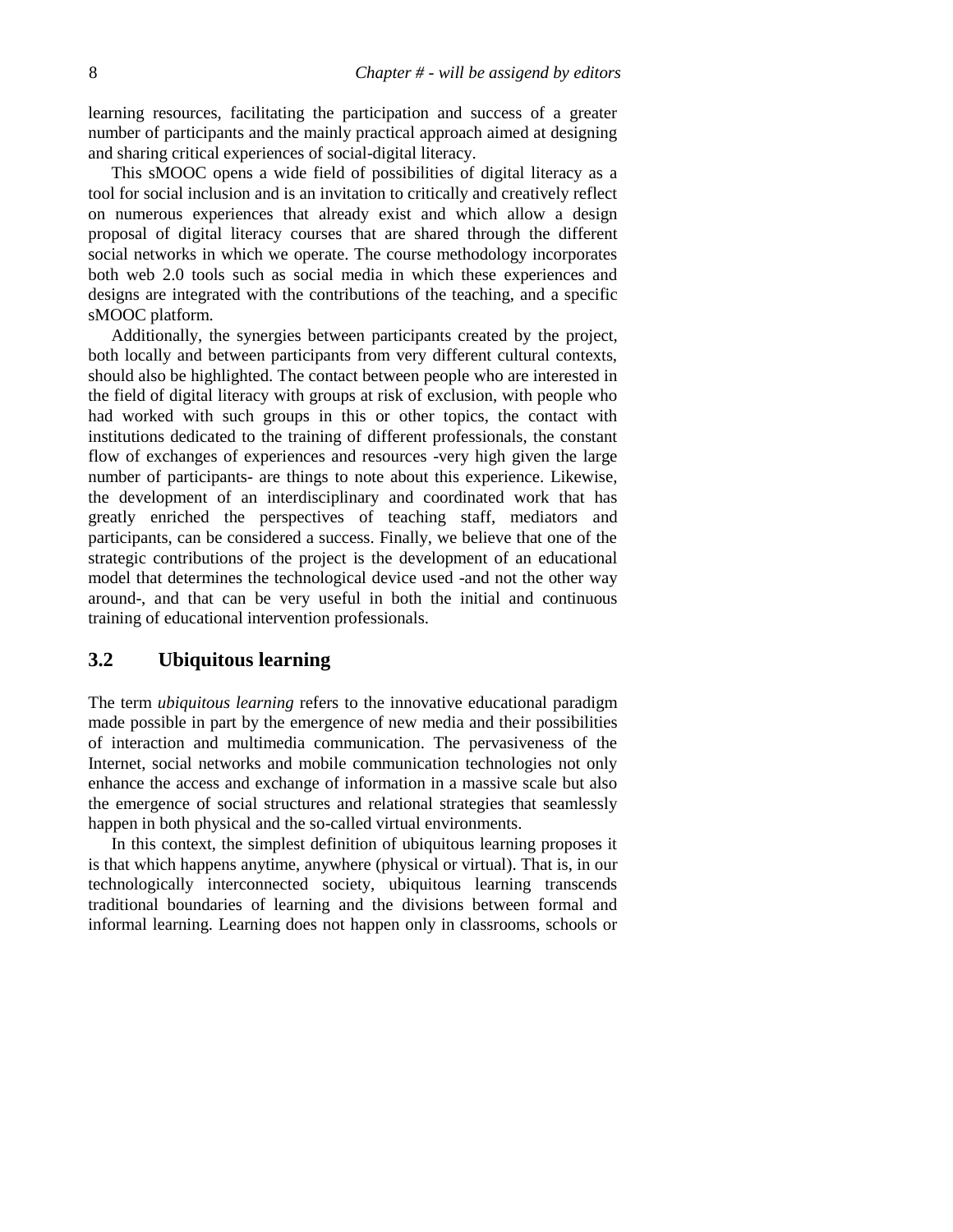learning resources, facilitating the participation and success of a greater number of participants and the mainly practical approach aimed at designing and sharing critical experiences of social-digital literacy.

This sMOOC opens a wide field of possibilities of digital literacy as a tool for social inclusion and is an invitation to critically and creatively reflect on numerous experiences that already exist and which allow a design proposal of digital literacy courses that are shared through the different social networks in which we operate. The course methodology incorporates both web 2.0 tools such as social media in which these experiences and designs are integrated with the contributions of the teaching, and a specific sMOOC platform.

Additionally, the synergies between participants created by the project, both locally and between participants from very different cultural contexts, should also be highlighted. The contact between people who are interested in the field of digital literacy with groups at risk of exclusion, with people who had worked with such groups in this or other topics, the contact with institutions dedicated to the training of different professionals, the constant flow of exchanges of experiences and resources -very high given the large number of participants- are things to note about this experience. Likewise, the development of an interdisciplinary and coordinated work that has greatly enriched the perspectives of teaching staff, mediators and participants, can be considered a success. Finally, we believe that one of the strategic contributions of the project is the development of an educational model that determines the technological device used -and not the other way around-, and that can be very useful in both the initial and continuous training of educational intervention professionals.

#### **3.2 Ubiquitous learning**

The term *ubiquitous learning* refers to the innovative educational paradigm made possible in part by the emergence of new media and their possibilities of interaction and multimedia communication. The pervasiveness of the Internet, social networks and mobile communication technologies not only enhance the access and exchange of information in a massive scale but also the emergence of social structures and relational strategies that seamlessly happen in both physical and the so-called virtual environments.

In this context, the simplest definition of ubiquitous learning proposes it is that which happens anytime, anywhere (physical or virtual). That is, in our technologically interconnected society, ubiquitous learning transcends traditional boundaries of learning and the divisions between formal and informal learning. Learning does not happen only in classrooms, schools or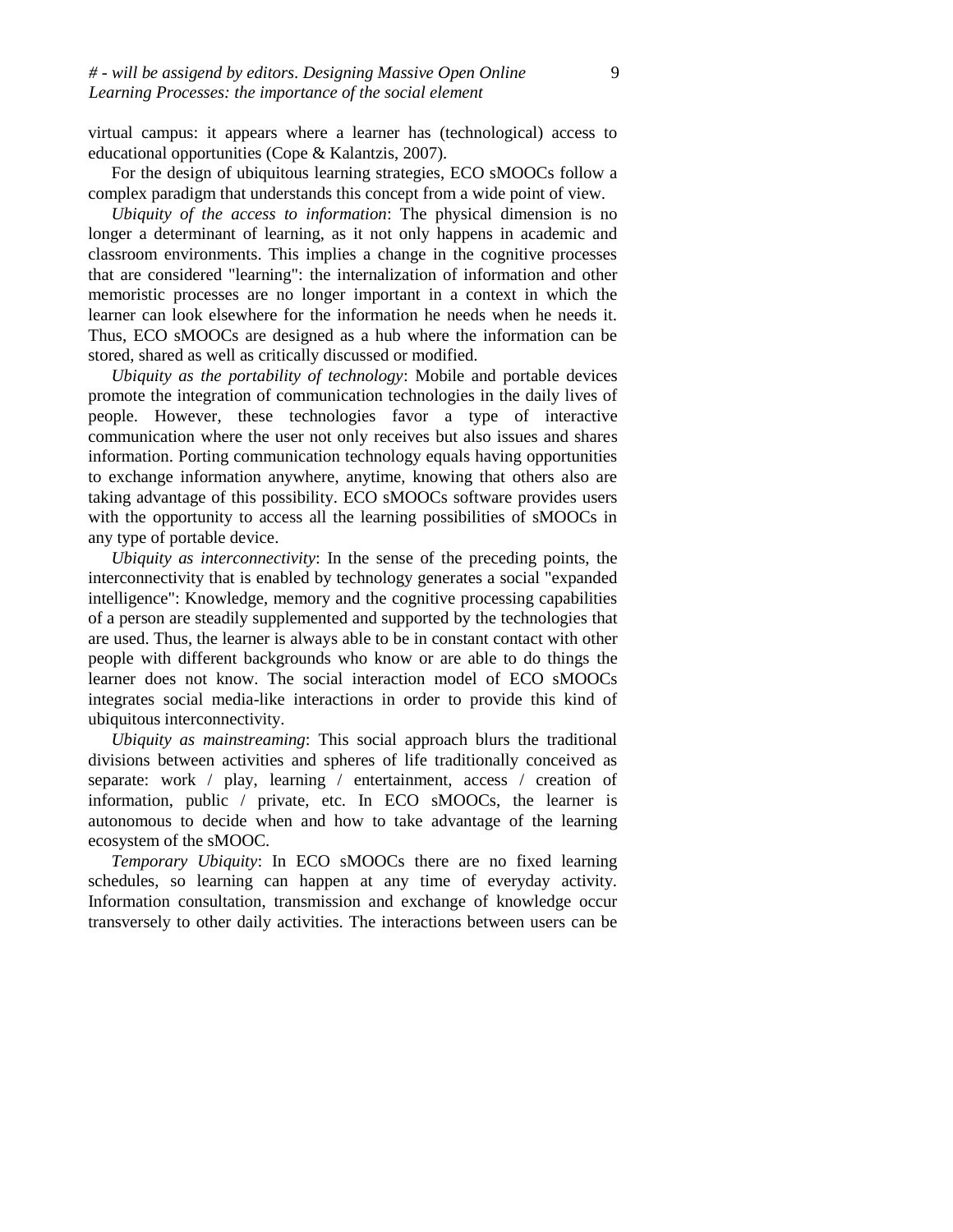virtual campus: it appears where a learner has (technological) access to educational opportunities (Cope & Kalantzis, 2007).

For the design of ubiquitous learning strategies, ECO sMOOCs follow a complex paradigm that understands this concept from a wide point of view.

*Ubiquity of the access to information*: The physical dimension is no longer a determinant of learning, as it not only happens in academic and classroom environments. This implies a change in the cognitive processes that are considered "learning": the internalization of information and other memoristic processes are no longer important in a context in which the learner can look elsewhere for the information he needs when he needs it. Thus, ECO sMOOCs are designed as a hub where the information can be stored, shared as well as critically discussed or modified.

*Ubiquity as the portability of technology*: Mobile and portable devices promote the integration of communication technologies in the daily lives of people. However, these technologies favor a type of interactive communication where the user not only receives but also issues and shares information. Porting communication technology equals having opportunities to exchange information anywhere, anytime, knowing that others also are taking advantage of this possibility. ECO sMOOCs software provides users with the opportunity to access all the learning possibilities of sMOOCs in any type of portable device.

*Ubiquity as interconnectivity*: In the sense of the preceding points, the interconnectivity that is enabled by technology generates a social "expanded intelligence": Knowledge, memory and the cognitive processing capabilities of a person are steadily supplemented and supported by the technologies that are used. Thus, the learner is always able to be in constant contact with other people with different backgrounds who know or are able to do things the learner does not know. The social interaction model of ECO sMOOCs integrates social media-like interactions in order to provide this kind of ubiquitous interconnectivity.

*Ubiquity as mainstreaming*: This social approach blurs the traditional divisions between activities and spheres of life traditionally conceived as separate: work / play, learning / entertainment, access / creation of information, public / private, etc. In ECO sMOOCs, the learner is autonomous to decide when and how to take advantage of the learning ecosystem of the sMOOC.

*Temporary Ubiquity*: In ECO sMOOCs there are no fixed learning schedules, so learning can happen at any time of everyday activity. Information consultation, transmission and exchange of knowledge occur transversely to other daily activities. The interactions between users can be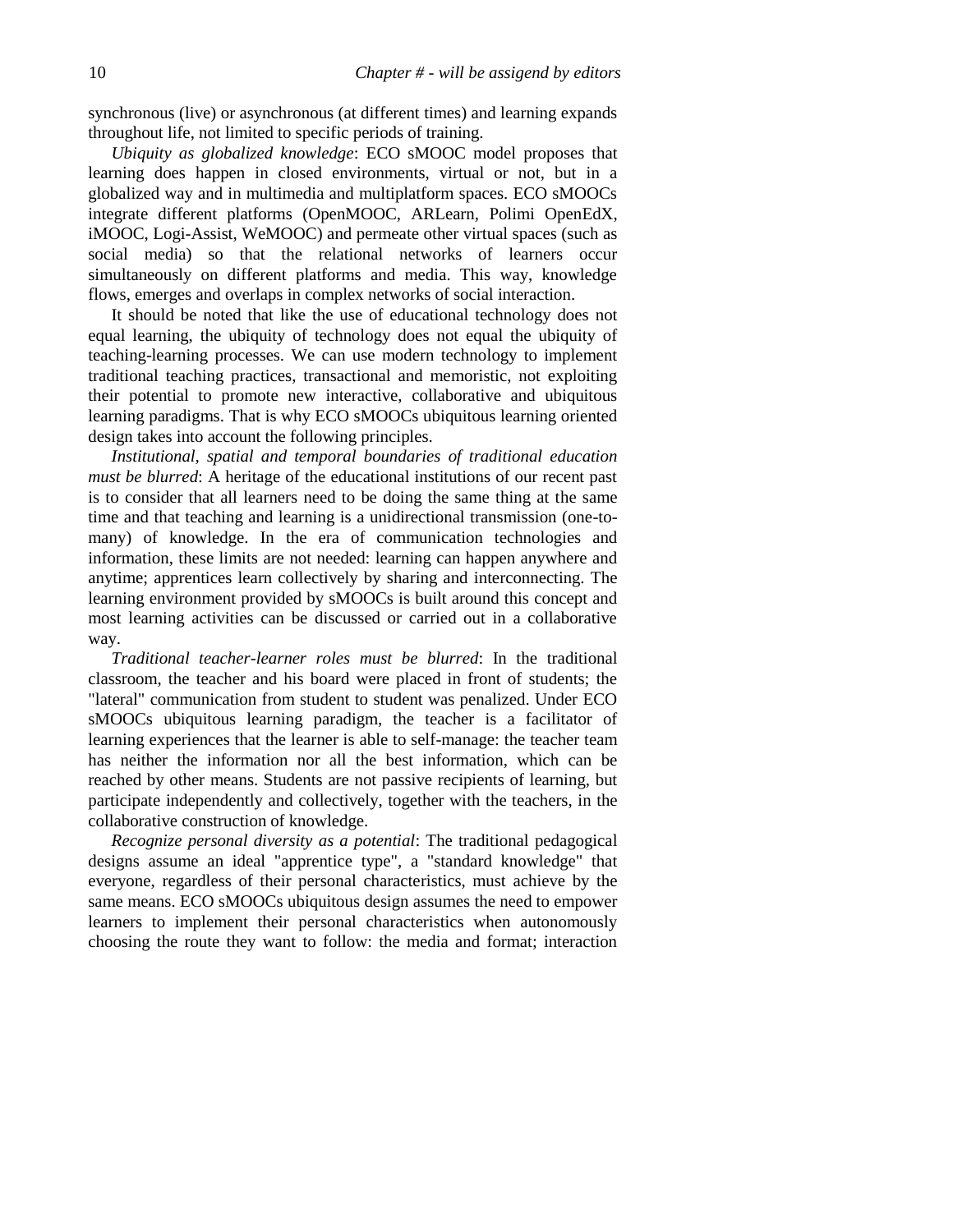synchronous (live) or asynchronous (at different times) and learning expands throughout life, not limited to specific periods of training.

*Ubiquity as globalized knowledge*: ECO sMOOC model proposes that learning does happen in closed environments, virtual or not, but in a globalized way and in multimedia and multiplatform spaces. ECO sMOOCs integrate different platforms (OpenMOOC, ARLearn, Polimi OpenEdX, iMOOC, Logi-Assist, WeMOOC) and permeate other virtual spaces (such as social media) so that the relational networks of learners occur simultaneously on different platforms and media. This way, knowledge flows, emerges and overlaps in complex networks of social interaction.

It should be noted that like the use of educational technology does not equal learning, the ubiquity of technology does not equal the ubiquity of teaching-learning processes. We can use modern technology to implement traditional teaching practices, transactional and memoristic, not exploiting their potential to promote new interactive, collaborative and ubiquitous learning paradigms. That is why ECO sMOOCs ubiquitous learning oriented design takes into account the following principles.

*Institutional, spatial and temporal boundaries of traditional education must be blurred*: A heritage of the educational institutions of our recent past is to consider that all learners need to be doing the same thing at the same time and that teaching and learning is a unidirectional transmission (one-tomany) of knowledge. In the era of communication technologies and information, these limits are not needed: learning can happen anywhere and anytime; apprentices learn collectively by sharing and interconnecting. The learning environment provided by sMOOCs is built around this concept and most learning activities can be discussed or carried out in a collaborative way.

*Traditional teacher-learner roles must be blurred*: In the traditional classroom, the teacher and his board were placed in front of students; the "lateral" communication from student to student was penalized. Under ECO sMOOCs ubiquitous learning paradigm, the teacher is a facilitator of learning experiences that the learner is able to self-manage: the teacher team has neither the information nor all the best information, which can be reached by other means. Students are not passive recipients of learning, but participate independently and collectively, together with the teachers, in the collaborative construction of knowledge.

*Recognize personal diversity as a potential*: The traditional pedagogical designs assume an ideal "apprentice type", a "standard knowledge" that everyone, regardless of their personal characteristics, must achieve by the same means. ECO sMOOCs ubiquitous design assumes the need to empower learners to implement their personal characteristics when autonomously choosing the route they want to follow: the media and format; interaction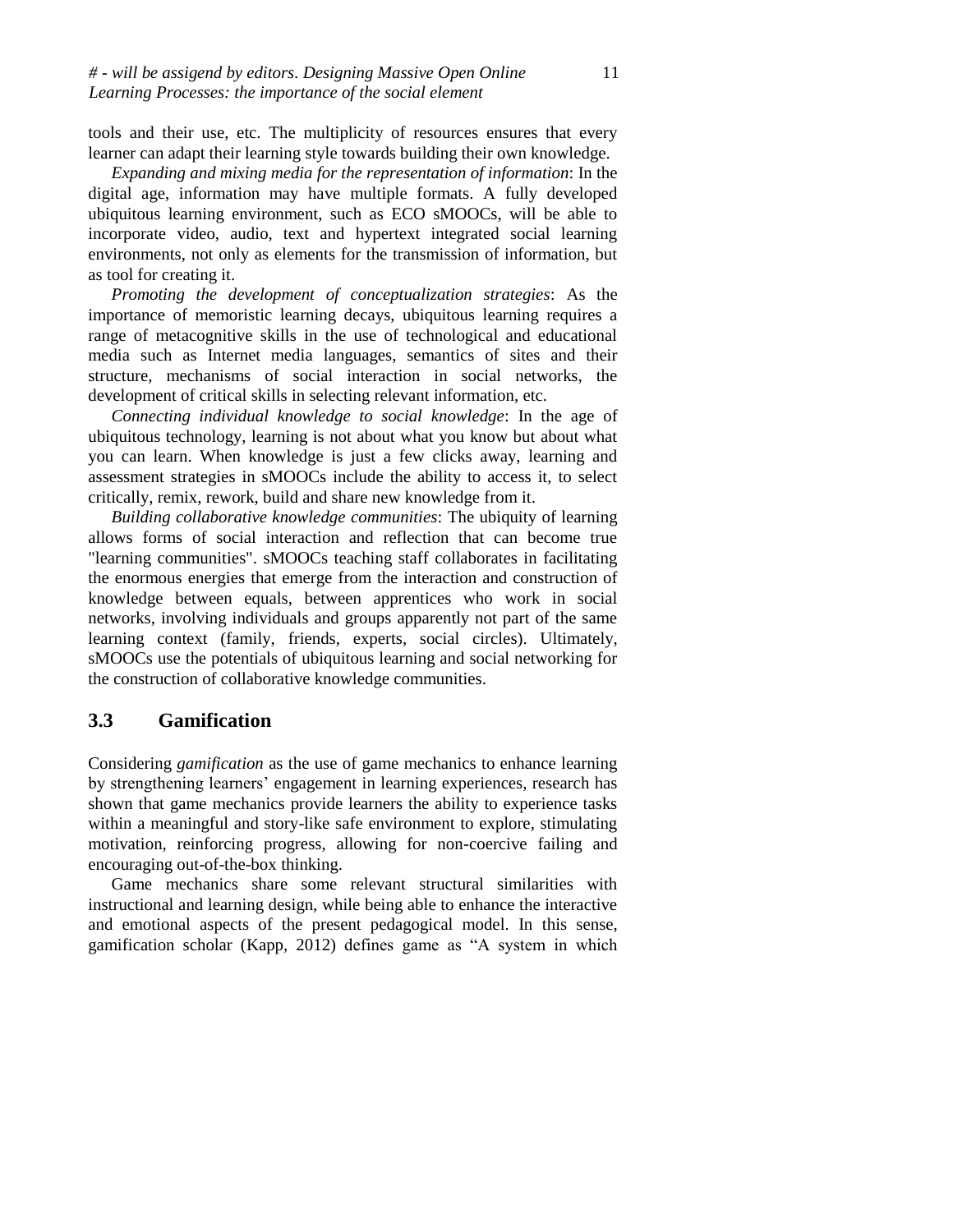tools and their use, etc. The multiplicity of resources ensures that every learner can adapt their learning style towards building their own knowledge.

*Expanding and mixing media for the representation of information*: In the digital age, information may have multiple formats. A fully developed ubiquitous learning environment, such as ECO sMOOCs, will be able to incorporate video, audio, text and hypertext integrated social learning environments, not only as elements for the transmission of information, but as tool for creating it.

*Promoting the development of conceptualization strategies*: As the importance of memoristic learning decays, ubiquitous learning requires a range of metacognitive skills in the use of technological and educational media such as Internet media languages, semantics of sites and their structure, mechanisms of social interaction in social networks, the development of critical skills in selecting relevant information, etc.

*Connecting individual knowledge to social knowledge*: In the age of ubiquitous technology, learning is not about what you know but about what you can learn. When knowledge is just a few clicks away, learning and assessment strategies in sMOOCs include the ability to access it, to select critically, remix, rework, build and share new knowledge from it.

*Building collaborative knowledge communities*: The ubiquity of learning allows forms of social interaction and reflection that can become true "learning communities". sMOOCs teaching staff collaborates in facilitating the enormous energies that emerge from the interaction and construction of knowledge between equals, between apprentices who work in social networks, involving individuals and groups apparently not part of the same learning context (family, friends, experts, social circles). Ultimately, sMOOCs use the potentials of ubiquitous learning and social networking for the construction of collaborative knowledge communities.

### **3.3 Gamification**

Considering *gamification* as the use of game mechanics to enhance learning by strengthening learners' engagement in learning experiences, research has shown that game mechanics provide learners the ability to experience tasks within a meaningful and story-like safe environment to explore, stimulating motivation, reinforcing progress, allowing for non-coercive failing and encouraging out-of-the-box thinking.

Game mechanics share some relevant structural similarities with instructional and learning design, while being able to enhance the interactive and emotional aspects of the present pedagogical model. In this sense, gamification scholar (Kapp, 2012) defines game as "A system in which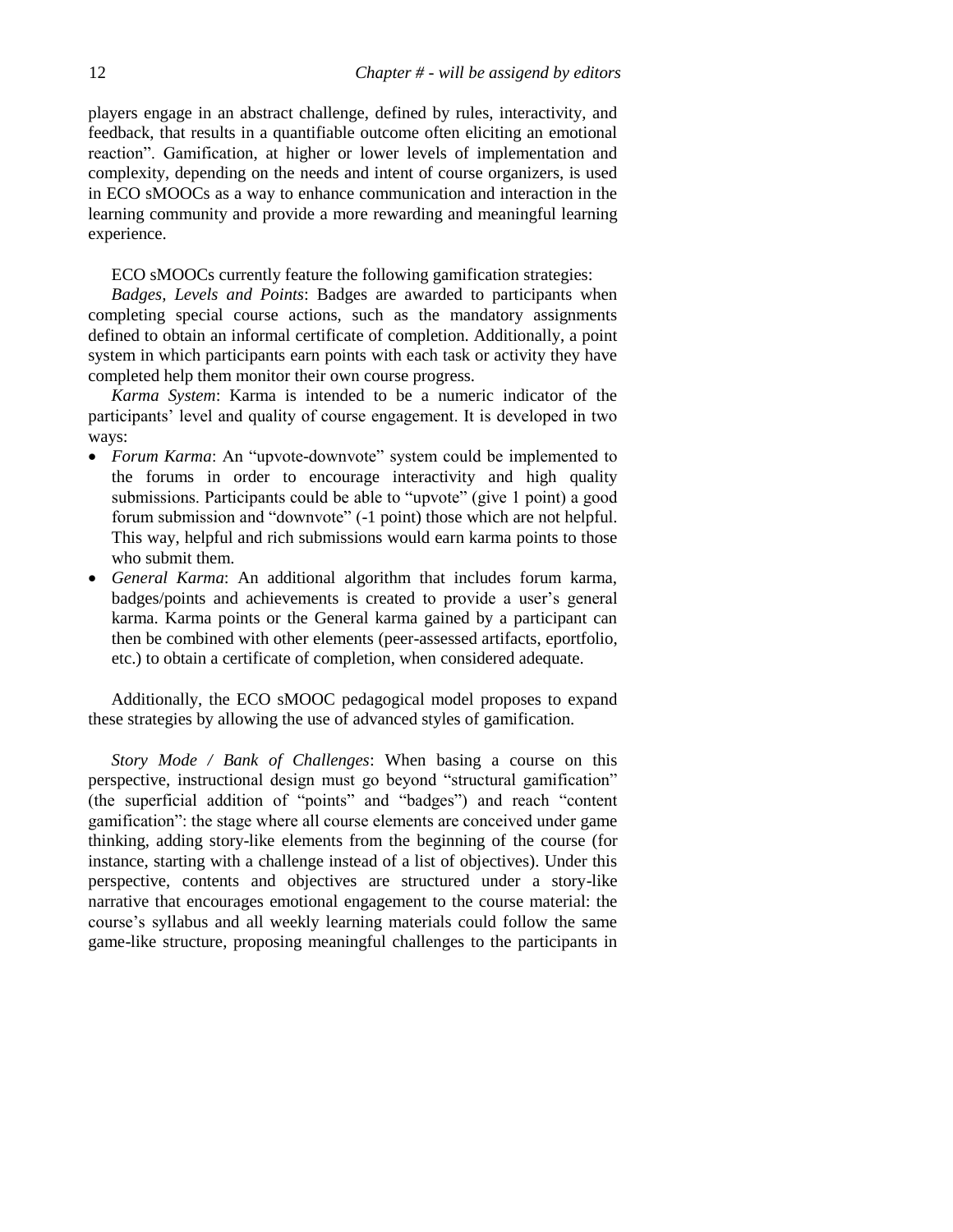players engage in an abstract challenge, defined by rules, interactivity, and feedback, that results in a quantifiable outcome often eliciting an emotional reaction". Gamification, at higher or lower levels of implementation and complexity, depending on the needs and intent of course organizers, is used in ECO sMOOCs as a way to enhance communication and interaction in the learning community and provide a more rewarding and meaningful learning experience.

ECO sMOOCs currently feature the following gamification strategies:

*Badges, Levels and Points*: Badges are awarded to participants when completing special course actions, such as the mandatory assignments defined to obtain an informal certificate of completion. Additionally, a point system in which participants earn points with each task or activity they have completed help them monitor their own course progress.

*Karma System*: Karma is intended to be a numeric indicator of the participants' level and quality of course engagement. It is developed in two ways:

- *Forum Karma*: An "upvote-downvote" system could be implemented to the forums in order to encourage interactivity and high quality submissions. Participants could be able to "upvote" (give 1 point) a good forum submission and "downvote" (-1 point) those which are not helpful. This way, helpful and rich submissions would earn karma points to those who submit them.
- *General Karma*: An additional algorithm that includes forum karma, badges/points and achievements is created to provide a user's general karma. Karma points or the General karma gained by a participant can then be combined with other elements (peer-assessed artifacts, eportfolio, etc.) to obtain a certificate of completion, when considered adequate.

Additionally, the ECO sMOOC pedagogical model proposes to expand these strategies by allowing the use of advanced styles of gamification.

*Story Mode / Bank of Challenges*: When basing a course on this perspective, instructional design must go beyond "structural gamification" (the superficial addition of "points" and "badges") and reach "content gamification": the stage where all course elements are conceived under game thinking, adding story-like elements from the beginning of the course (for instance, starting with a challenge instead of a list of objectives). Under this perspective, contents and objectives are structured under a story-like narrative that encourages emotional engagement to the course material: the course's syllabus and all weekly learning materials could follow the same game-like structure, proposing meaningful challenges to the participants in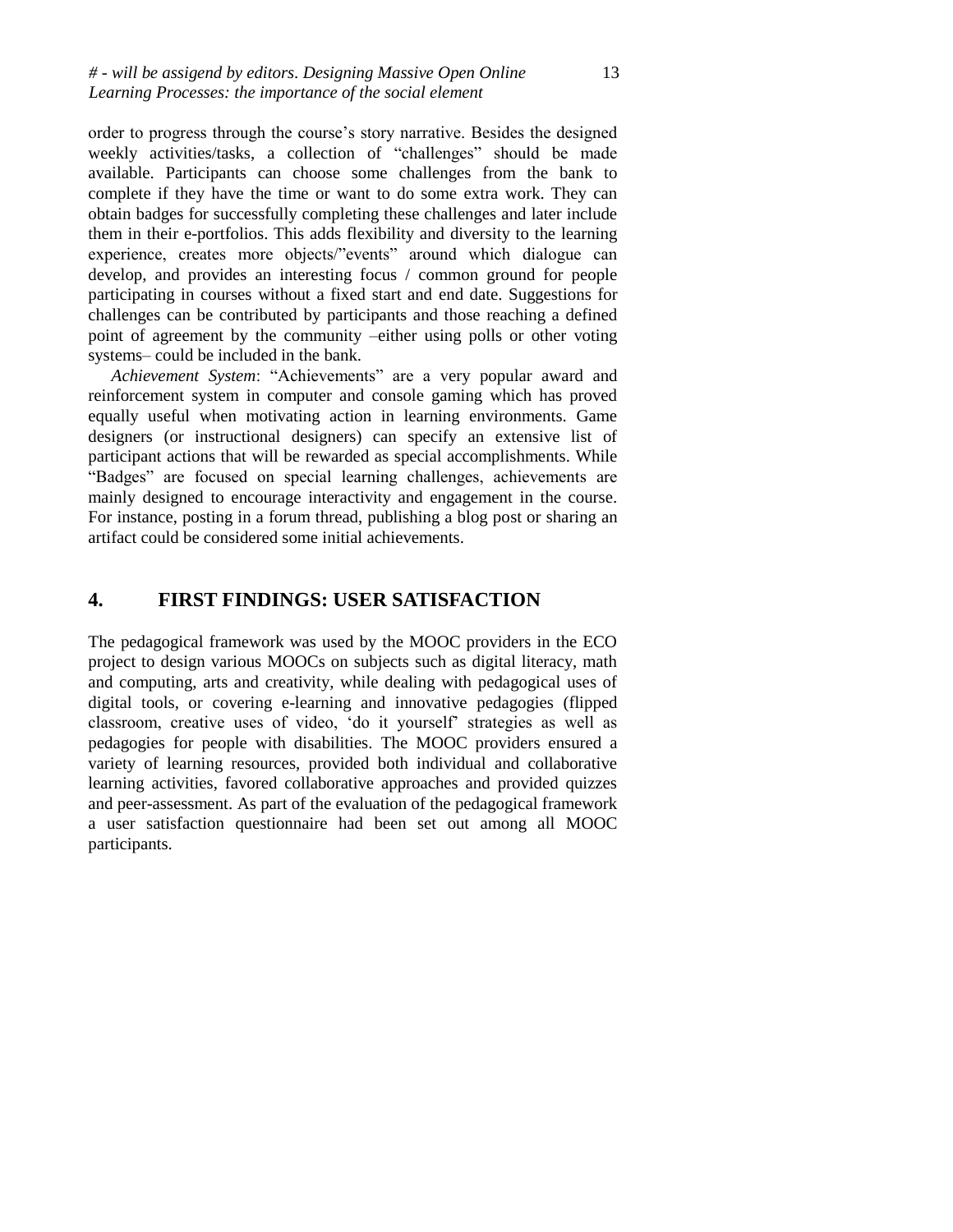order to progress through the course's story narrative. Besides the designed weekly activities/tasks, a collection of "challenges" should be made available. Participants can choose some challenges from the bank to complete if they have the time or want to do some extra work. They can obtain badges for successfully completing these challenges and later include them in their e-portfolios. This adds flexibility and diversity to the learning experience, creates more objects/"events" around which dialogue can develop, and provides an interesting focus / common ground for people participating in courses without a fixed start and end date. Suggestions for challenges can be contributed by participants and those reaching a defined point of agreement by the community –either using polls or other voting systems– could be included in the bank.

*Achievement System*: "Achievements" are a very popular award and reinforcement system in computer and console gaming which has proved equally useful when motivating action in learning environments. Game designers (or instructional designers) can specify an extensive list of participant actions that will be rewarded as special accomplishments. While "Badges" are focused on special learning challenges, achievements are mainly designed to encourage interactivity and engagement in the course. For instance, posting in a forum thread, publishing a blog post or sharing an artifact could be considered some initial achievements.

## **4. FIRST FINDINGS: USER SATISFACTION**

The pedagogical framework was used by the MOOC providers in the ECO project to design various MOOCs on subjects such as digital literacy, math and computing, arts and creativity, while dealing with pedagogical uses of digital tools, or covering e-learning and innovative pedagogies (flipped classroom, creative uses of video, 'do it yourself' strategies as well as pedagogies for people with disabilities. The MOOC providers ensured a variety of learning resources, provided both individual and collaborative learning activities, favored collaborative approaches and provided quizzes and peer-assessment. As part of the evaluation of the pedagogical framework a user satisfaction questionnaire had been set out among all MOOC participants.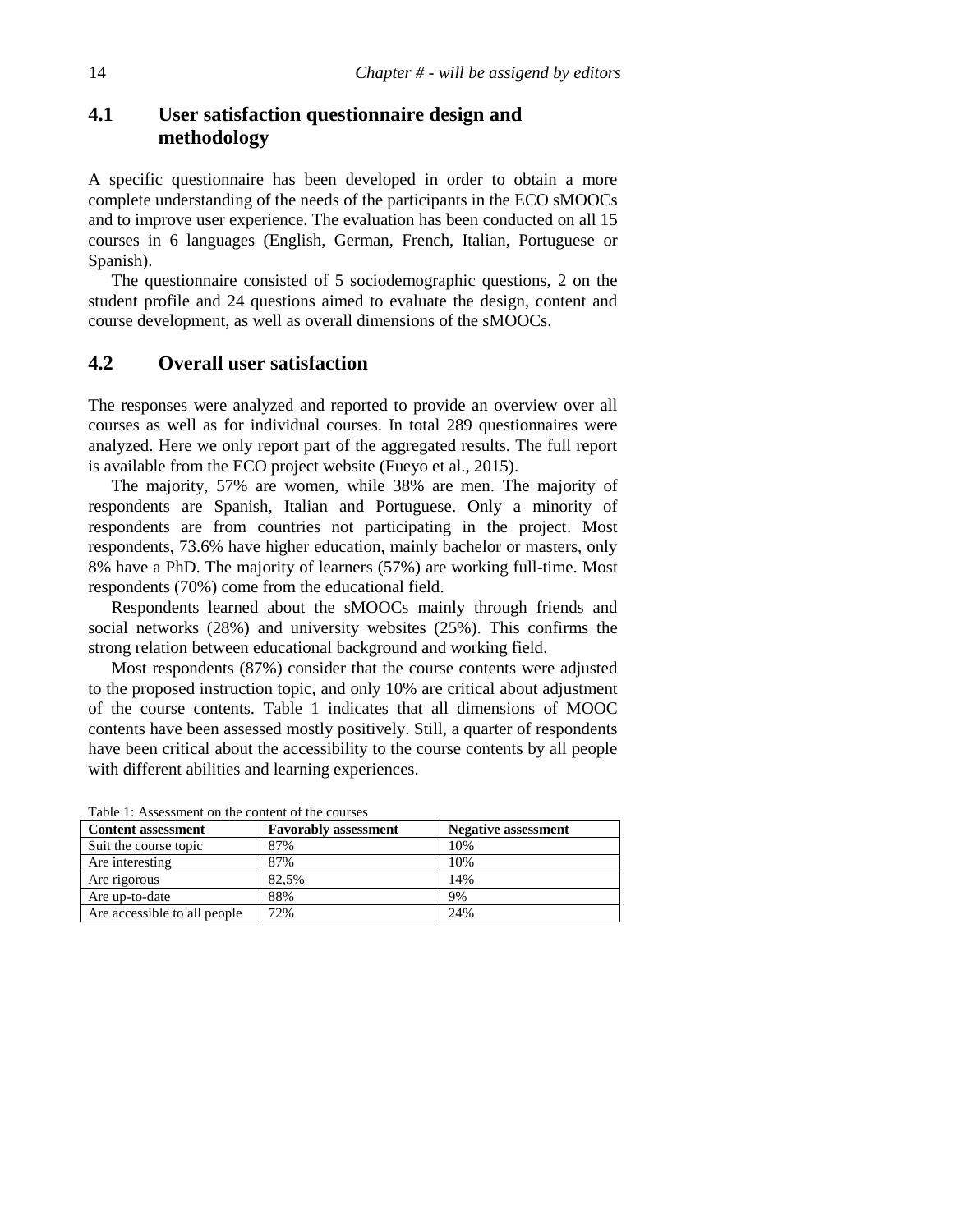# **4.1 User satisfaction questionnaire design and methodology**

A specific questionnaire has been developed in order to obtain a more complete understanding of the needs of the participants in the ECO sMOOCs and to improve user experience. The evaluation has been conducted on all 15 courses in 6 languages (English, German, French, Italian, Portuguese or Spanish).

The questionnaire consisted of 5 sociodemographic questions, 2 on the student profile and 24 questions aimed to evaluate the design, content and course development, as well as overall dimensions of the sMOOCs.

### **4.2 Overall user satisfaction**

The responses were analyzed and reported to provide an overview over all courses as well as for individual courses. In total 289 questionnaires were analyzed. Here we only report part of the aggregated results. The full report is available from the ECO project website (Fueyo et al., 2015).

The majority, 57% are women, while 38% are men. The majority of respondents are Spanish, Italian and Portuguese. Only a minority of respondents are from countries not participating in the project. Most respondents, 73.6% have higher education, mainly bachelor or masters, only 8% have a PhD. The majority of learners (57%) are working full-time. Most respondents (70%) come from the educational field.

Respondents learned about the sMOOCs mainly through friends and social networks (28%) and university websites (25%). This confirms the strong relation between educational background and working field.

Most respondents (87%) consider that the course contents were adjusted to the proposed instruction topic, and only 10% are critical about adjustment of the course contents. Table 1 indicates that all dimensions of MOOC contents have been assessed mostly positively. Still, a quarter of respondents have been critical about the accessibility to the course contents by all people with different abilities and learning experiences.

**Content assessment Favorably assessment Negative assessment** Suit the course topic 87% 10% Are interesting 87% 10% Are rigorous 82,5% 14% Are up-to-date 88% 88% 9% Are accessible to all people 72% 24%

Table 1: Assessment on the content of the courses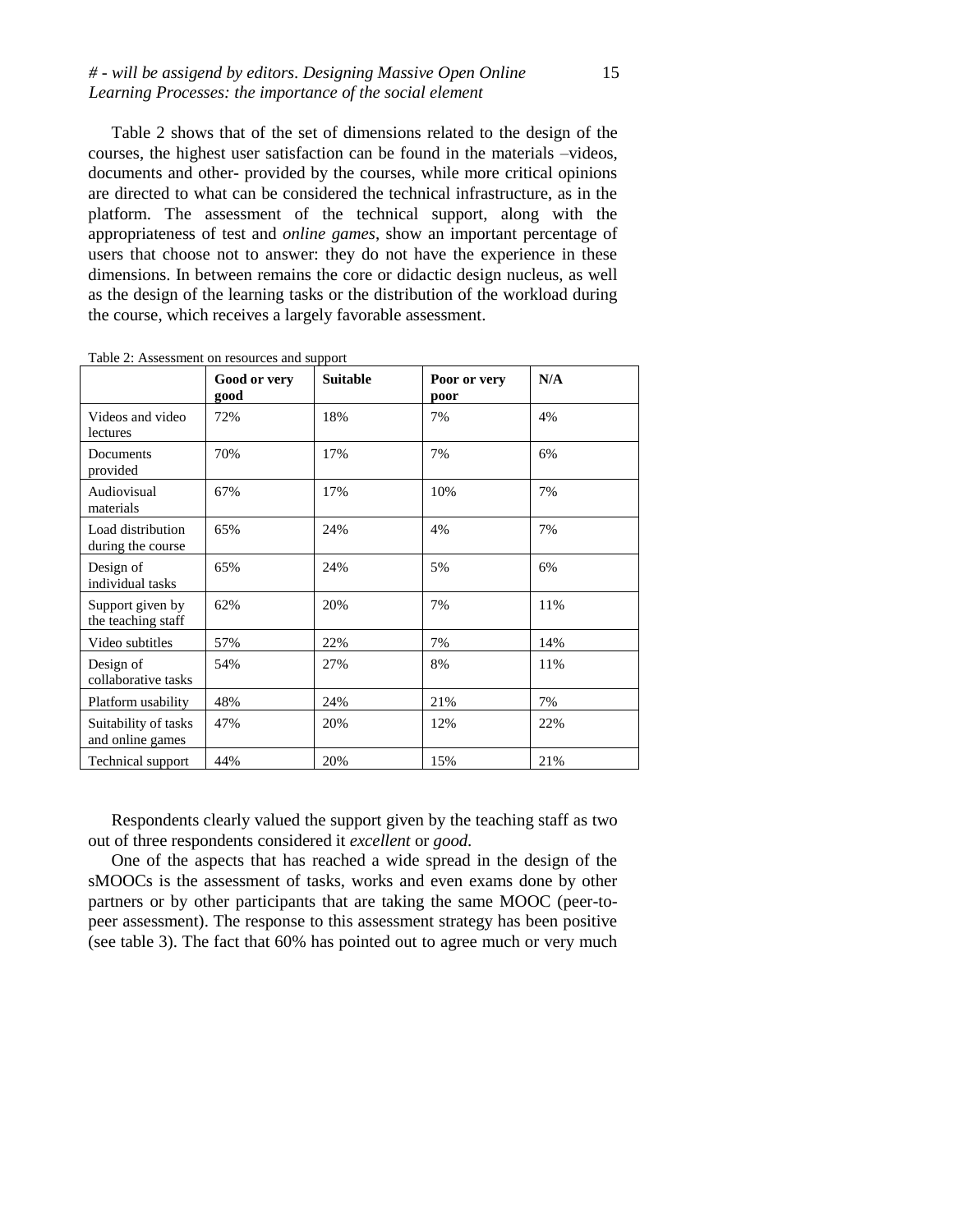#### *# - will be assigend by editors. Designing Massive Open Online Learning Processes: the importance of the social element*

Table 2 shows that of the set of dimensions related to the design of the courses, the highest user satisfaction can be found in the materials –videos, documents and other- provided by the courses, while more critical opinions are directed to what can be considered the technical infrastructure, as in the platform. The assessment of the technical support, along with the appropriateness of test and *online games*, show an important percentage of users that choose not to answer: they do not have the experience in these dimensions. In between remains the core or didactic design nucleus, as well as the design of the learning tasks or the distribution of the workload during the course, which receives a largely favorable assessment.

|                                          | Good or very<br>good | <b>Suitable</b> | Poor or very<br>poor | N/A |
|------------------------------------------|----------------------|-----------------|----------------------|-----|
| Videos and video<br>lectures             | 72%                  | 18%             | 7%                   | 4%  |
| Documents<br>provided                    | 70%                  | 17%             | 7%                   | 6%  |
| Audiovisual<br>materials                 | 67%                  | 17%             | 10%                  | 7%  |
| Load distribution<br>during the course   | 65%                  | 24%             | 4%                   | 7%  |
| Design of<br>individual tasks            | 65%                  | 24%             | 5%                   | 6%  |
| Support given by<br>the teaching staff   | 62%                  | 20%             | 7%                   | 11% |
| Video subtitles                          | 57%                  | 22%             | 7%                   | 14% |
| Design of<br>collaborative tasks         | 54%                  | 27%             | 8%                   | 11% |
| Platform usability                       | 48%                  | 24%             | 21%                  | 7%  |
| Suitability of tasks<br>and online games | 47%                  | 20%             | 12%                  | 22% |
| Technical support                        | 44%                  | 20%             | 15%                  | 21% |

Table 2: Assessment on resources and support

Respondents clearly valued the support given by the teaching staff as two out of three respondents considered it *excellent* or *good*.

One of the aspects that has reached a wide spread in the design of the sMOOCs is the assessment of tasks, works and even exams done by other partners or by other participants that are taking the same MOOC (peer-topeer assessment). The response to this assessment strategy has been positive (see table 3). The fact that 60% has pointed out to agree much or very much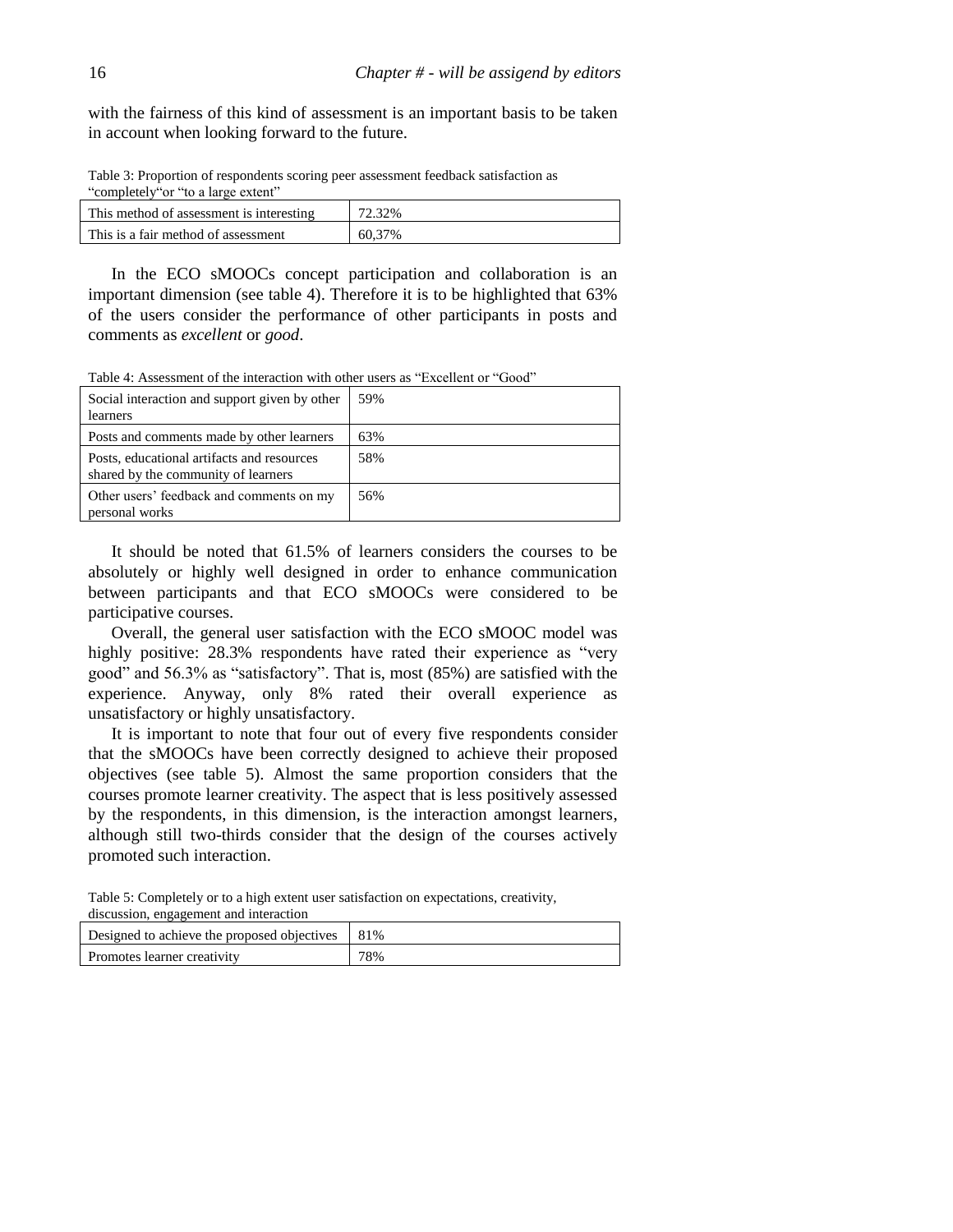with the fairness of this kind of assessment is an important basis to be taken in account when looking forward to the future.

Table 3: Proportion of respondents scoring peer assessment feedback satisfaction as "completely"or "to a large extent"

| This method of assessment is interesting | 72.32% |
|------------------------------------------|--------|
| This is a fair method of assessment      | 60.37% |

In the ECO sMOOCs concept participation and collaboration is an important dimension (see table 4). Therefore it is to be highlighted that 63% of the users consider the performance of other participants in posts and comments as *excellent* or *good*.

Table 4: Assessment of the interaction with other users as "Excellent or "Good"

| Social interaction and support given by other<br>learners                         | 59% |
|-----------------------------------------------------------------------------------|-----|
| Posts and comments made by other learners                                         | 63% |
| Posts, educational artifacts and resources<br>shared by the community of learners | 58% |
| Other users' feedback and comments on my<br>personal works                        | 56% |

It should be noted that 61.5% of learners considers the courses to be absolutely or highly well designed in order to enhance communication between participants and that ECO sMOOCs were considered to be participative courses.

Overall, the general user satisfaction with the ECO sMOOC model was highly positive: 28.3% respondents have rated their experience as "very good" and 56.3% as "satisfactory". That is, most (85%) are satisfied with the experience. Anyway, only 8% rated their overall experience as unsatisfactory or highly unsatisfactory.

It is important to note that four out of every five respondents consider that the sMOOCs have been correctly designed to achieve their proposed objectives (see table 5). Almost the same proportion considers that the courses promote learner creativity. The aspect that is less positively assessed by the respondents, in this dimension, is the interaction amongst learners, although still two-thirds consider that the design of the courses actively promoted such interaction.

Table 5: Completely or to a high extent user satisfaction on expectations, creativity, discussion, engagement and interaction

| Designed to achieve the proposed objectives   81% |     |
|---------------------------------------------------|-----|
| Promotes learner creativity                       | 78% |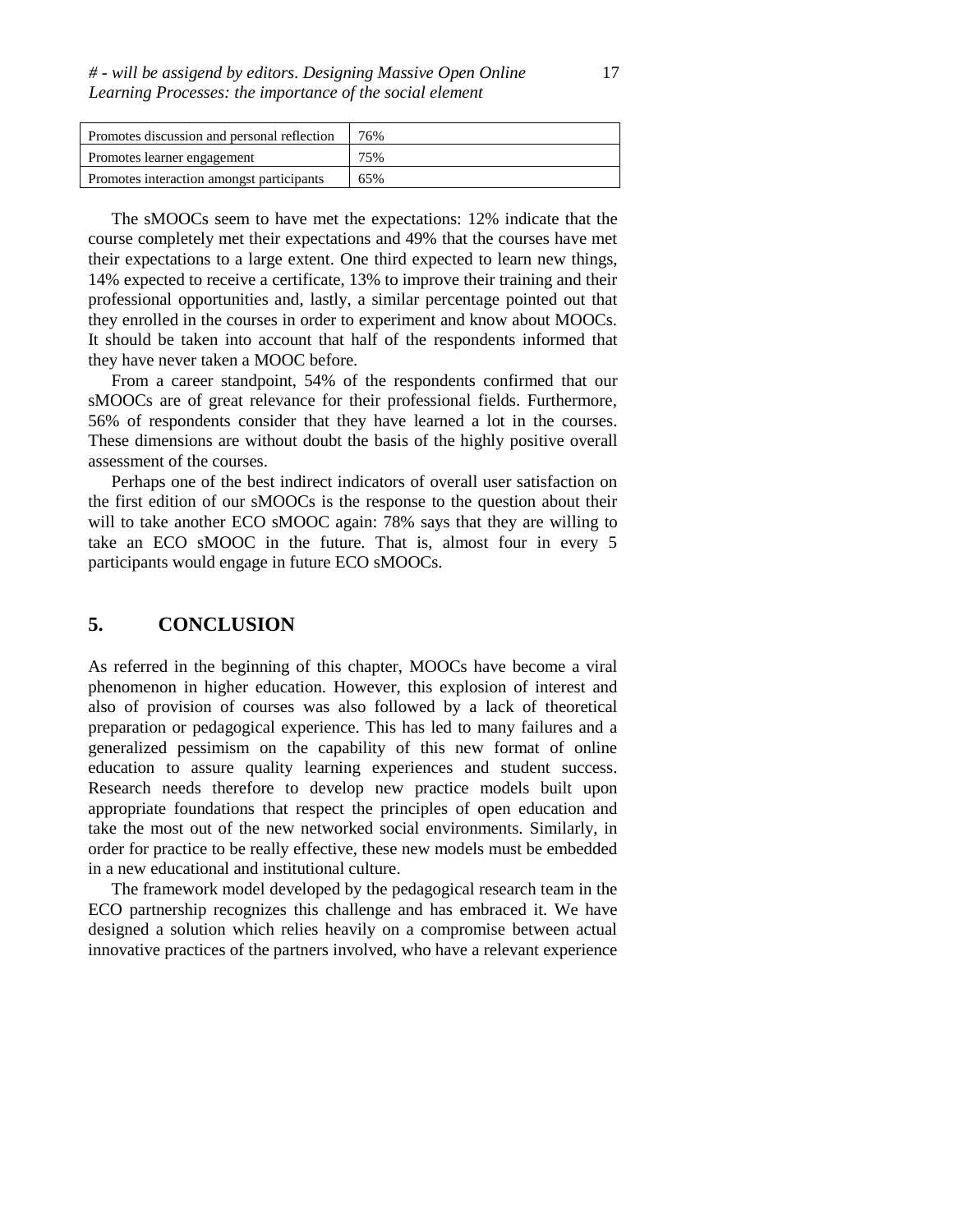| Promotes discussion and personal reflection | 76% |
|---------------------------------------------|-----|
| Promotes learner engagement                 | 75% |
| Promotes interaction amongst participants   | 65% |

The sMOOCs seem to have met the expectations: 12% indicate that the course completely met their expectations and 49% that the courses have met their expectations to a large extent. One third expected to learn new things, 14% expected to receive a certificate, 13% to improve their training and their professional opportunities and, lastly, a similar percentage pointed out that they enrolled in the courses in order to experiment and know about MOOCs. It should be taken into account that half of the respondents informed that they have never taken a MOOC before.

From a career standpoint, 54% of the respondents confirmed that our sMOOCs are of great relevance for their professional fields. Furthermore, 56% of respondents consider that they have learned a lot in the courses. These dimensions are without doubt the basis of the highly positive overall assessment of the courses.

Perhaps one of the best indirect indicators of overall user satisfaction on the first edition of our sMOOCs is the response to the question about their will to take another ECO sMOOC again: 78% says that they are willing to take an ECO sMOOC in the future. That is, almost four in every 5 participants would engage in future ECO sMOOCs.

### **5. CONCLUSION**

As referred in the beginning of this chapter, MOOCs have become a viral phenomenon in higher education. However, this explosion of interest and also of provision of courses was also followed by a lack of theoretical preparation or pedagogical experience. This has led to many failures and a generalized pessimism on the capability of this new format of online education to assure quality learning experiences and student success. Research needs therefore to develop new practice models built upon appropriate foundations that respect the principles of open education and take the most out of the new networked social environments. Similarly, in order for practice to be really effective, these new models must be embedded in a new educational and institutional culture.

The framework model developed by the pedagogical research team in the ECO partnership recognizes this challenge and has embraced it. We have designed a solution which relies heavily on a compromise between actual innovative practices of the partners involved, who have a relevant experience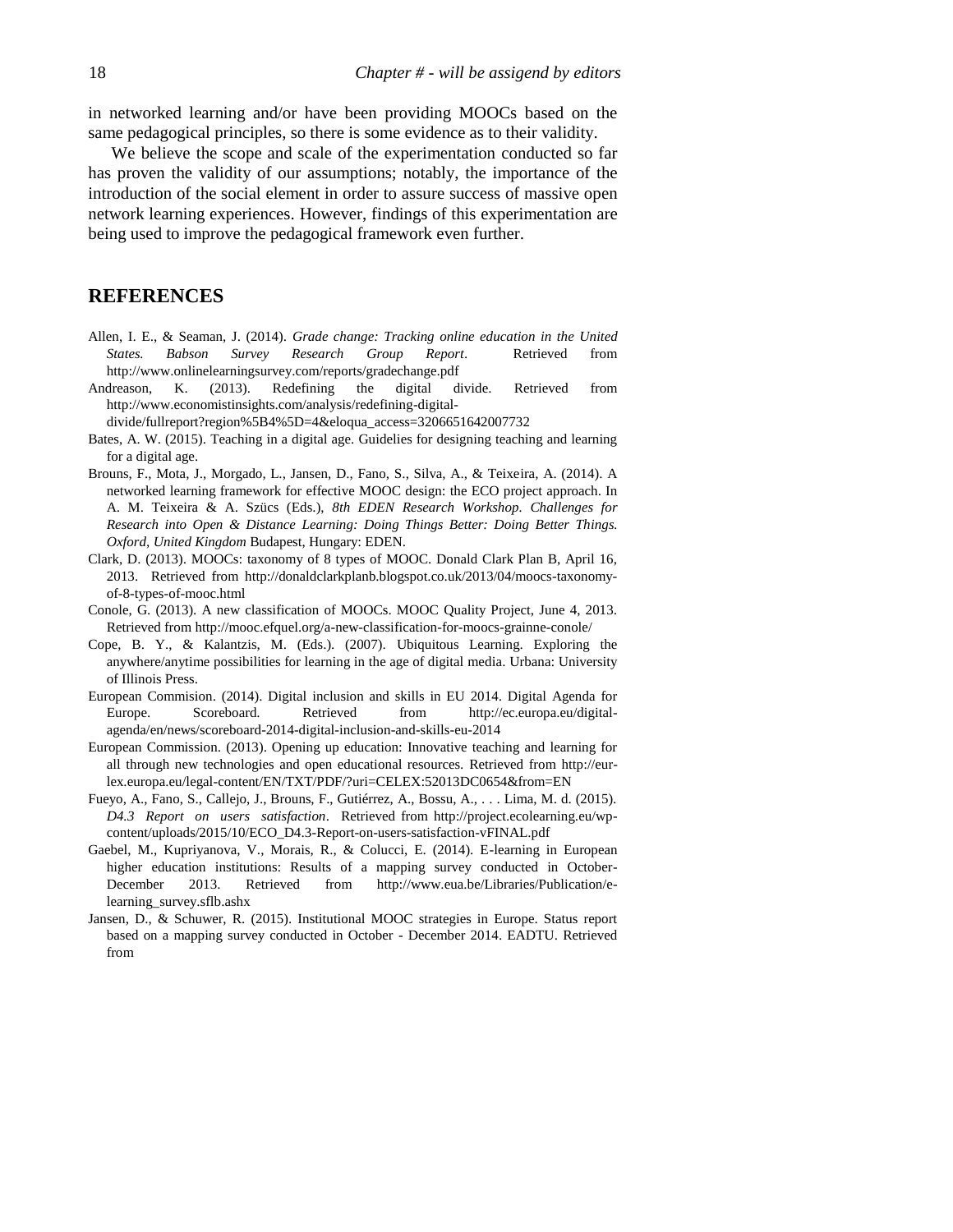in networked learning and/or have been providing MOOCs based on the same pedagogical principles, so there is some evidence as to their validity.

We believe the scope and scale of the experimentation conducted so far has proven the validity of our assumptions; notably, the importance of the introduction of the social element in order to assure success of massive open network learning experiences. However, findings of this experimentation are being used to improve the pedagogical framework even further.

#### **REFERENCES**

- Allen, I. E., & Seaman, J. (2014). *Grade change: Tracking online education in the United States. Babson Survey Research Group Report*. Retrieved from http://www.onlinelearningsurvey.com/reports/gradechange.pdf
- Andreason, K. (2013). Redefining the digital divide. Retrieved from http://www.economistinsights.com/analysis/redefining-digital-

divide/fullreport?region%5B4%5D=4&eloqua\_access=3206651642007732

- Bates, A. W. (2015). Teaching in a digital age. Guidelies for designing teaching and learning for a digital age.
- Brouns, F., Mota, J., Morgado, L., Jansen, D., Fano, S., Silva, A., & Teixeira, A. (2014). A networked learning framework for effective MOOC design: the ECO project approach. In A. M. Teixeira & A. Szücs (Eds.), *8th EDEN Research Workshop. Challenges for Research into Open & Distance Learning: Doing Things Better: Doing Better Things. Oxford, United Kingdom* Budapest, Hungary: EDEN.
- Clark, D. (2013). MOOCs: taxonomy of 8 types of MOOC. Donald Clark Plan B, April 16, 2013. Retrieved from http://donaldclarkplanb.blogspot.co.uk/2013/04/moocs-taxonomyof-8-types-of-mooc.html
- Conole, G. (2013). A new classification of MOOCs. MOOC Quality Project, June 4, 2013. Retrieved from http://mooc.efquel.org/a-new-classification-for-moocs-grainne-conole/
- Cope, B. Y., & Kalantzis, M. (Eds.). (2007). Ubiquitous Learning. Exploring the anywhere/anytime possibilities for learning in the age of digital media. Urbana: University of Illinois Press.
- European Commision. (2014). Digital inclusion and skills in EU 2014. Digital Agenda for Europe. Scoreboard. Retrieved from http://ec.europa.eu/digitalagenda/en/news/scoreboard-2014-digital-inclusion-and-skills-eu-2014
- European Commission. (2013). Opening up education: Innovative teaching and learning for all through new technologies and open educational resources. Retrieved from http://eurlex.europa.eu/legal-content/EN/TXT/PDF/?uri=CELEX:52013DC0654&from=EN
- Fueyo, A., Fano, S., Callejo, J., Brouns, F., Gutiérrez, A., Bossu, A., . . . Lima, M. d. (2015). *D4.3 Report on users satisfaction*. Retrieved from http://project.ecolearning.eu/wpcontent/uploads/2015/10/ECO\_D4.3-Report-on-users-satisfaction-vFINAL.pdf
- Gaebel, M., Kupriyanova, V., Morais, R., & Colucci, E. (2014). E-learning in European higher education institutions: Results of a mapping survey conducted in October-December 2013. Retrieved from http://www.eua.be/Libraries/Publication/elearning\_survey.sflb.ashx
- Jansen, D., & Schuwer, R. (2015). Institutional MOOC strategies in Europe. Status report based on a mapping survey conducted in October - December 2014. EADTU. Retrieved from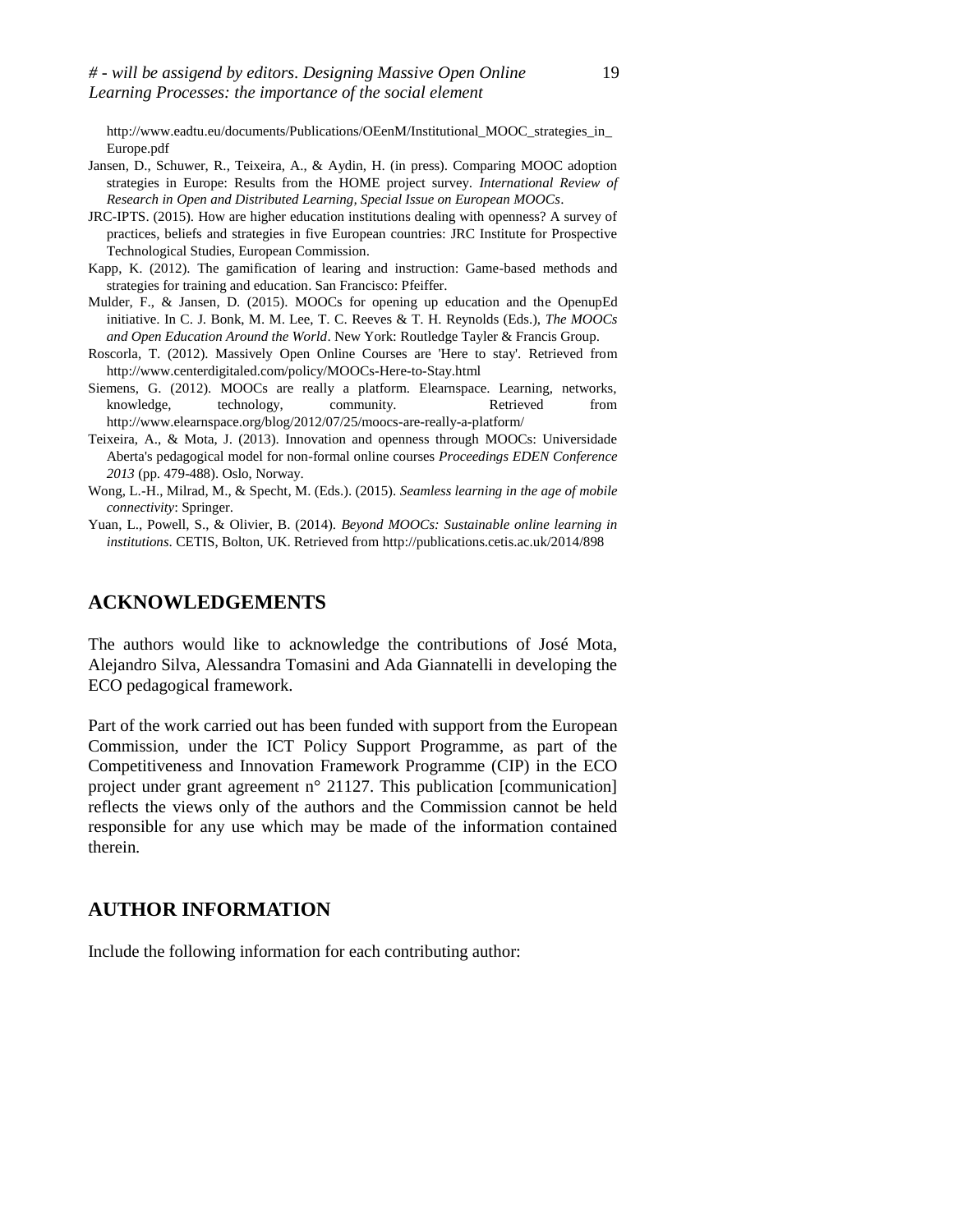http://www.eadtu.eu/documents/Publications/OEenM/Institutional\_MOOC\_strategies\_in\_ Europe.pdf

- Jansen, D., Schuwer, R., Teixeira, A., & Aydin, H. (in press). Comparing MOOC adoption strategies in Europe: Results from the HOME project survey. *International Review of Research in Open and Distributed Learning, Special Issue on European MOOCs*.
- JRC-IPTS. (2015). How are higher education institutions dealing with openness? A survey of practices, beliefs and strategies in five European countries: JRC Institute for Prospective Technological Studies, European Commission.
- Kapp, K. (2012). The gamification of learing and instruction: Game-based methods and strategies for training and education. San Francisco: Pfeiffer.
- Mulder, F., & Jansen, D. (2015). MOOCs for opening up education and the OpenupEd initiative. In C. J. Bonk, M. M. Lee, T. C. Reeves & T. H. Reynolds (Eds.), *The MOOCs and Open Education Around the World*. New York: Routledge Tayler & Francis Group.
- Roscorla, T. (2012). Massively Open Online Courses are 'Here to stay'. Retrieved from http://www.centerdigitaled.com/policy/MOOCs-Here-to-Stay.html
- Siemens, G. (2012). MOOCs are really a platform. Elearnspace. Learning, networks, knowledge, technology, community. Retrieved from http://www.elearnspace.org/blog/2012/07/25/moocs-are-really-a-platform/
- Teixeira, A., & Mota, J. (2013). Innovation and openness through MOOCs: Universidade Aberta's pedagogical model for non-formal online courses *Proceedings EDEN Conference 2013* (pp. 479-488). Oslo, Norway.
- Wong, L.-H., Milrad, M., & Specht, M. (Eds.). (2015). *Seamless learning in the age of mobile connectivity*: Springer.
- Yuan, L., Powell, S., & Olivier, B. (2014). *Beyond MOOCs: Sustainable online learning in institutions*. CETIS, Bolton, UK. Retrieved from http://publications.cetis.ac.uk/2014/898

## **ACKNOWLEDGEMENTS**

The authors would like to acknowledge the contributions of José Mota, Alejandro Silva, Alessandra Tomasini and Ada Giannatelli in developing the ECO pedagogical framework.

Part of the work carried out has been funded with support from the European Commission, under the ICT Policy Support Programme, as part of the Competitiveness and Innovation Framework Programme (CIP) in the ECO project under grant agreement n° 21127. This publication [communication] reflects the views only of the authors and the Commission cannot be held responsible for any use which may be made of the information contained therein.

### **AUTHOR INFORMATION**

Include the following information for each contributing author: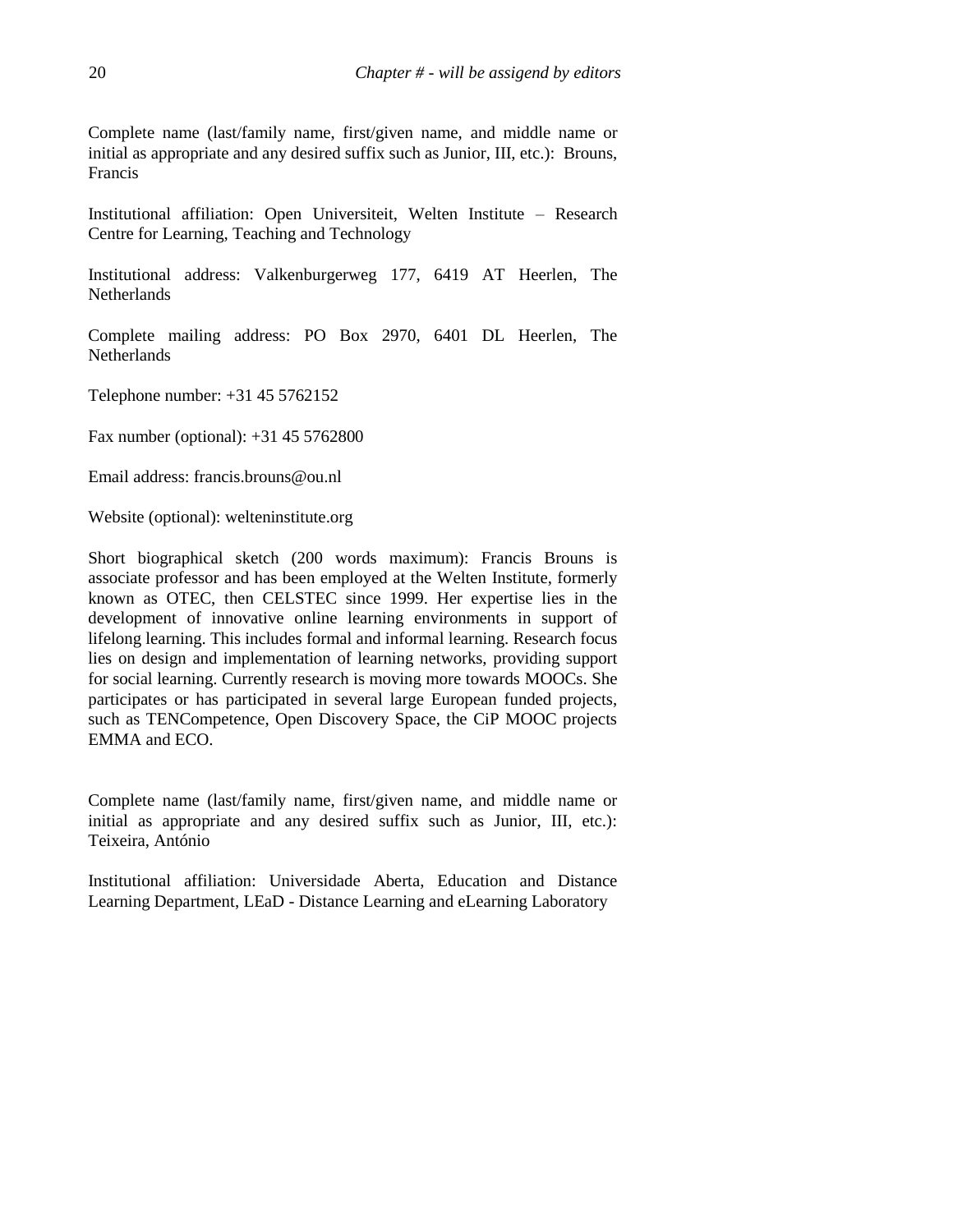Complete name (last/family name, first/given name, and middle name or initial as appropriate and any desired suffix such as Junior, III, etc.): Brouns, Francis

Institutional affiliation: Open Universiteit, Welten Institute – Research Centre for Learning, Teaching and Technology

Institutional address: Valkenburgerweg 177, 6419 AT Heerlen, The **Netherlands** 

Complete mailing address: PO Box 2970, 6401 DL Heerlen, The **Netherlands** 

Telephone number: +31 45 5762152

Fax number (optional): +31 45 5762800

Email address: francis.brouns@ou.nl

Website (optional): welteninstitute.org

Short biographical sketch (200 words maximum): Francis Brouns is associate professor and has been employed at the Welten Institute, formerly known as OTEC, then CELSTEC since 1999. Her expertise lies in the development of innovative online learning environments in support of lifelong learning. This includes formal and informal learning. Research focus lies on design and implementation of learning networks, providing support for social learning. Currently research is moving more towards MOOCs. She participates or has participated in several large European funded projects, such as TENCompetence, Open Discovery Space, the CiP MOOC projects EMMA and ECO.

Complete name (last/family name, first/given name, and middle name or initial as appropriate and any desired suffix such as Junior, III, etc.): Teixeira, António

Institutional affiliation: Universidade Aberta, Education and Distance Learning Department, LEaD - Distance Learning and eLearning Laboratory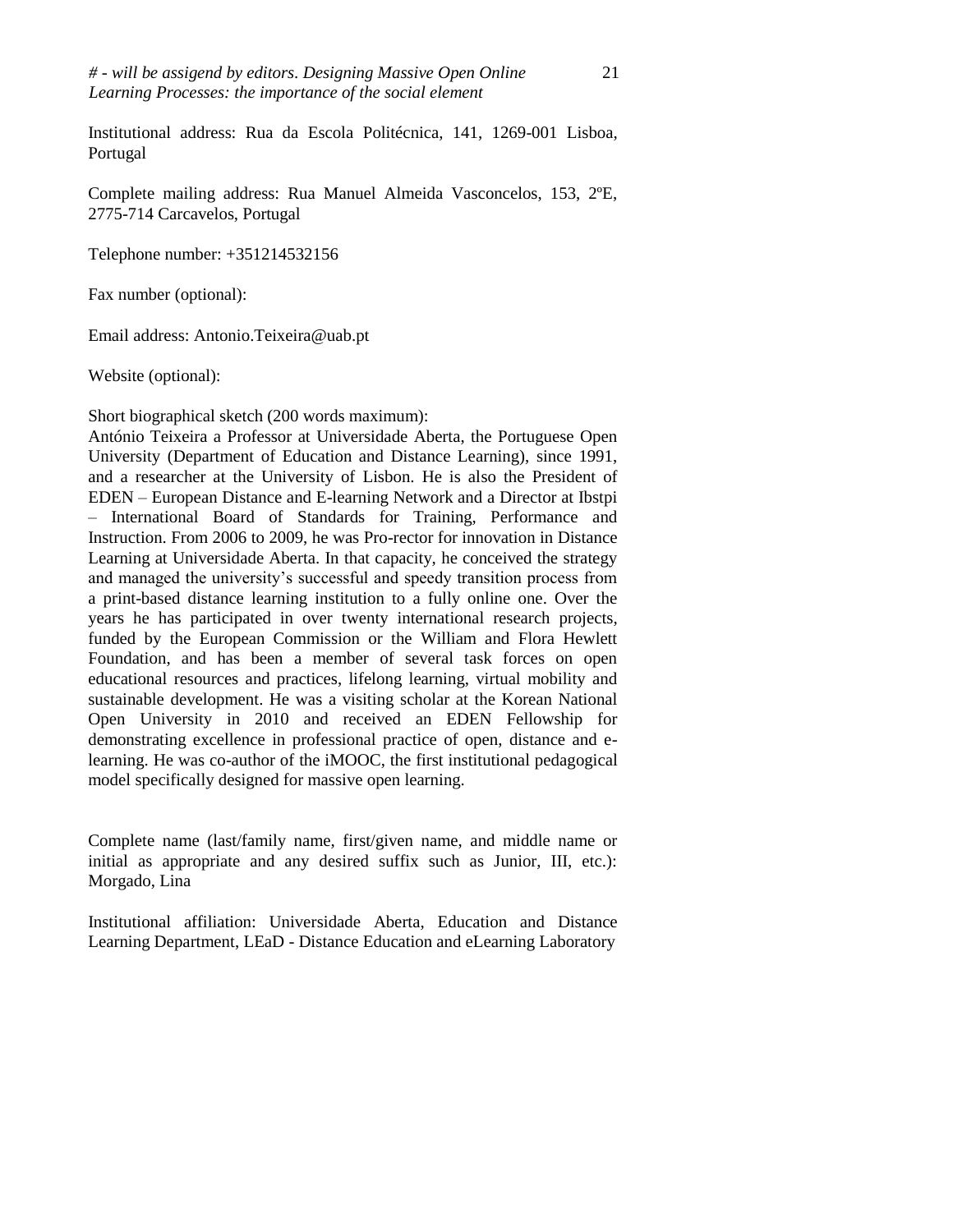Institutional address: Rua da Escola Politécnica, 141, 1269-001 Lisboa, Portugal

Complete mailing address: Rua Manuel Almeida Vasconcelos, 153, 2ºE, 2775-714 Carcavelos, Portugal

Telephone number: +351214532156

Fax number (optional):

Email address: Antonio.Teixeira@uab.pt

Website (optional):

Short biographical sketch (200 words maximum):

António Teixeira a Professor at Universidade Aberta, the Portuguese Open University (Department of Education and Distance Learning), since 1991, and a researcher at the University of Lisbon. He is also the President of EDEN – European Distance and E-learning Network and a Director at Ibstpi – International Board of Standards for Training, Performance and Instruction. From 2006 to 2009, he was Pro-rector for innovation in Distance Learning at Universidade Aberta. In that capacity, he conceived the strategy and managed the university's successful and speedy transition process from a print-based distance learning institution to a fully online one. Over the years he has participated in over twenty international research projects, funded by the European Commission or the William and Flora Hewlett Foundation, and has been a member of several task forces on open educational resources and practices, lifelong learning, virtual mobility and sustainable development. He was a visiting scholar at the Korean National Open University in 2010 and received an EDEN Fellowship for demonstrating excellence in professional practice of open, distance and elearning. He was co-author of the iMOOC, the first institutional pedagogical model specifically designed for massive open learning.

Complete name (last/family name, first/given name, and middle name or initial as appropriate and any desired suffix such as Junior, III, etc.): Morgado, Lina

Institutional affiliation: Universidade Aberta, Education and Distance Learning Department, LEaD - Distance Education and eLearning Laboratory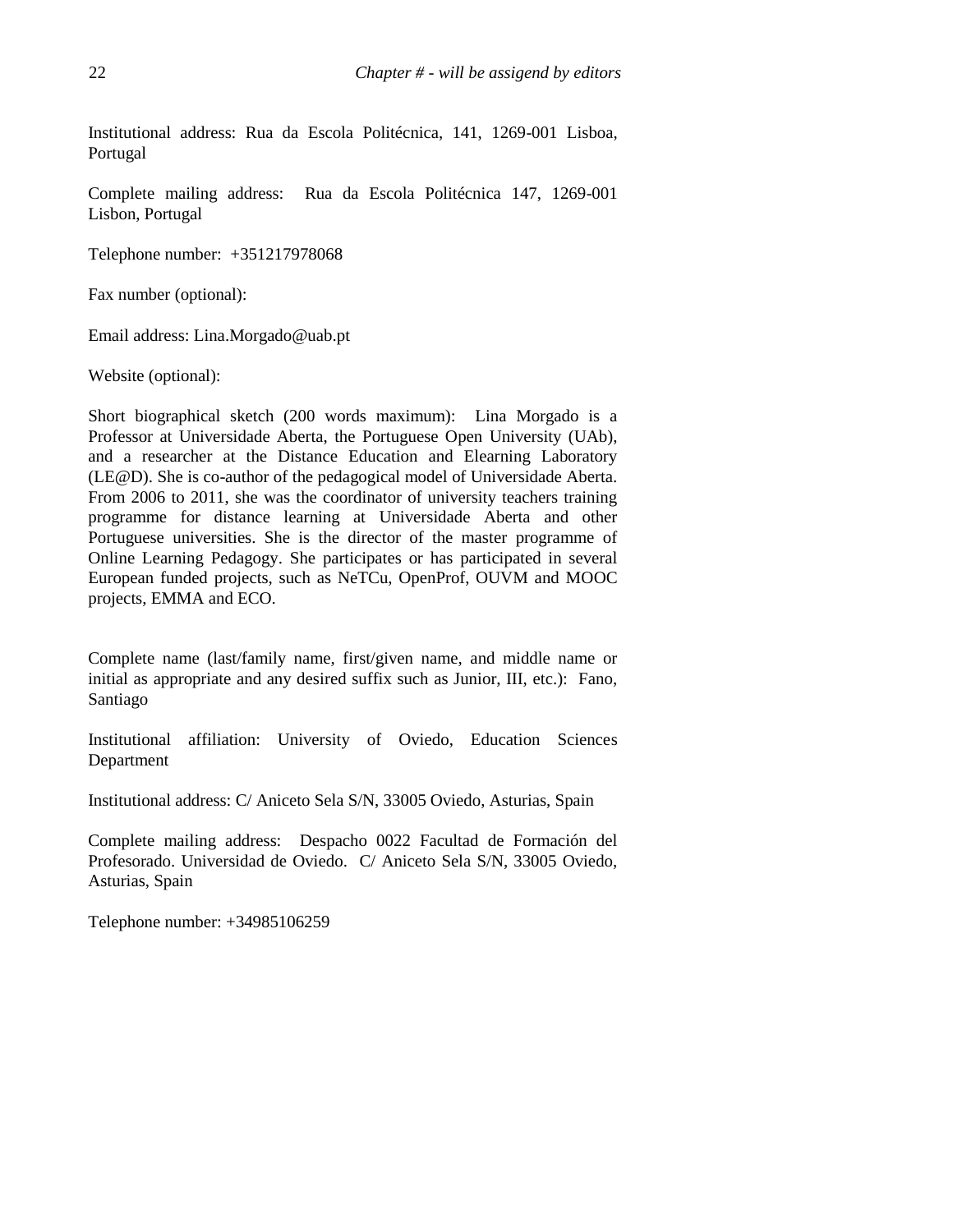Institutional address: Rua da Escola Politécnica, 141, 1269-001 Lisboa, Portugal

Complete mailing address: Rua da Escola Politécnica 147, 1269-001 Lisbon, Portugal

Telephone number: +351217978068

Fax number (optional):

Email address: Lina.Morgado@uab.pt

Website (optional):

Short biographical sketch (200 words maximum): Lina Morgado is a Professor at Universidade Aberta, the Portuguese Open University (UAb), and a researcher at the Distance Education and Elearning Laboratory (LE@D). She is co-author of the pedagogical model of Universidade Aberta. From 2006 to 2011, she was the coordinator of university teachers training programme for distance learning at Universidade Aberta and other Portuguese universities. She is the director of the master programme of Online Learning Pedagogy. She participates or has participated in several European funded projects, such as NeTCu, OpenProf, OUVM and MOOC projects, EMMA and ECO.

Complete name (last/family name, first/given name, and middle name or initial as appropriate and any desired suffix such as Junior, III, etc.): Fano, Santiago

Institutional affiliation: University of Oviedo, Education Sciences Department

Institutional address: C/ Aniceto Sela S/N, 33005 Oviedo, Asturias, Spain

Complete mailing address: Despacho 0022 Facultad de Formación del Profesorado. Universidad de Oviedo. C/ Aniceto Sela S/N, 33005 Oviedo, Asturias, Spain

Telephone number: +34985106259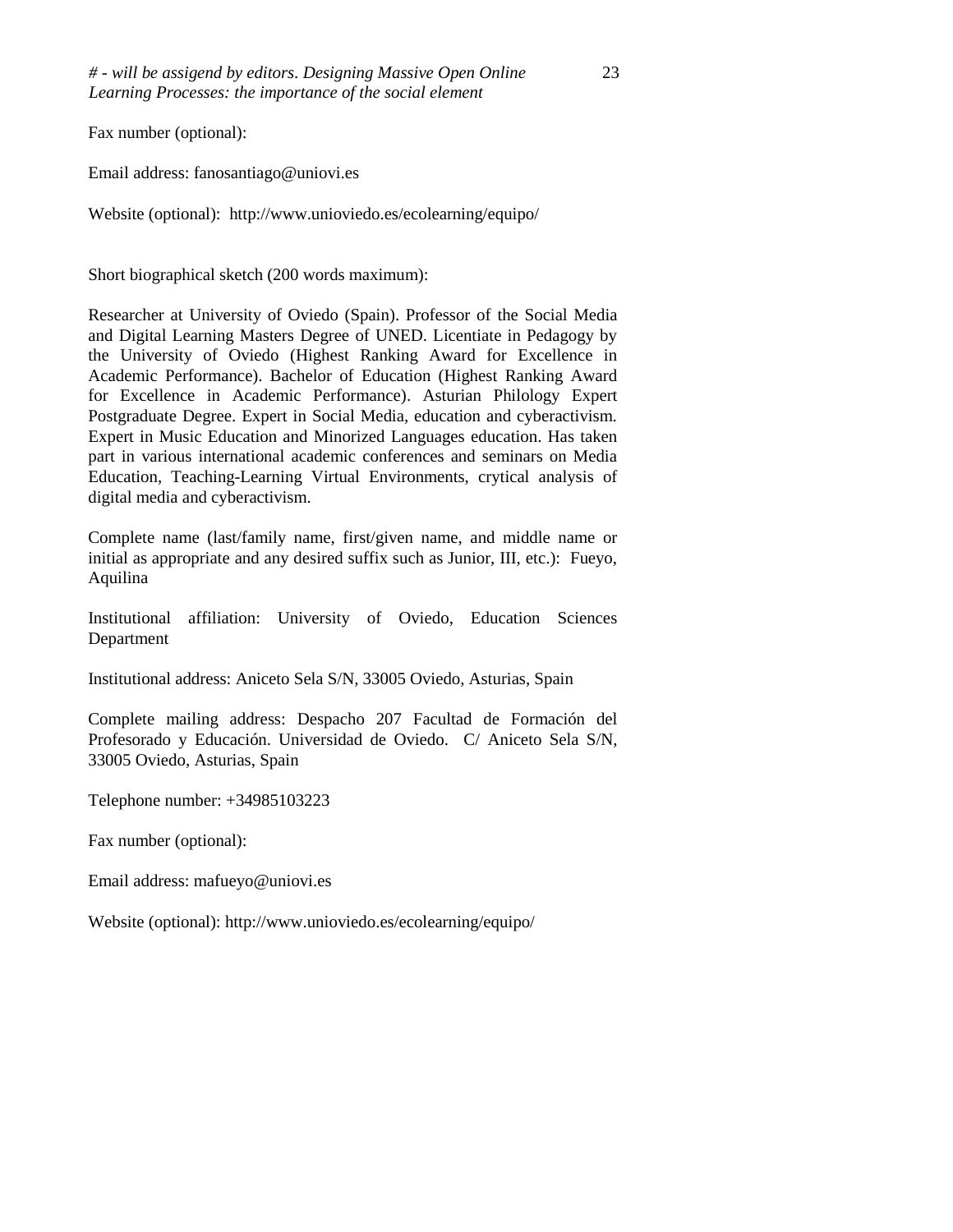*# - will be assigend by editors. Designing Massive Open Online Learning Processes: the importance of the social element*

Fax number (optional):

Email address: fanosantiago@uniovi.es

Website (optional): http://www.unioviedo.es/ecolearning/equipo/

Short biographical sketch (200 words maximum):

Researcher at University of Oviedo (Spain). Professor of the Social Media and Digital Learning Masters Degree of UNED. Licentiate in Pedagogy by the University of Oviedo (Highest Ranking Award for Excellence in Academic Performance). Bachelor of Education (Highest Ranking Award for Excellence in Academic Performance). Asturian Philology Expert Postgraduate Degree. Expert in Social Media, education and cyberactivism. Expert in Music Education and Minorized Languages education. Has taken part in various international academic conferences and seminars on Media Education, Teaching-Learning Virtual Environments, crytical analysis of digital media and cyberactivism.

Complete name (last/family name, first/given name, and middle name or initial as appropriate and any desired suffix such as Junior, III, etc.): Fueyo, Aquilina

Institutional affiliation: University of Oviedo, Education Sciences Department

Institutional address: Aniceto Sela S/N, 33005 Oviedo, Asturias, Spain

Complete mailing address: Despacho 207 Facultad de Formación del Profesorado y Educación. Universidad de Oviedo. C/ Aniceto Sela S/N, 33005 Oviedo, Asturias, Spain

Telephone number: +34985103223

Fax number (optional):

Email address: mafueyo@uniovi.es

Website (optional): http://www.unioviedo.es/ecolearning/equipo/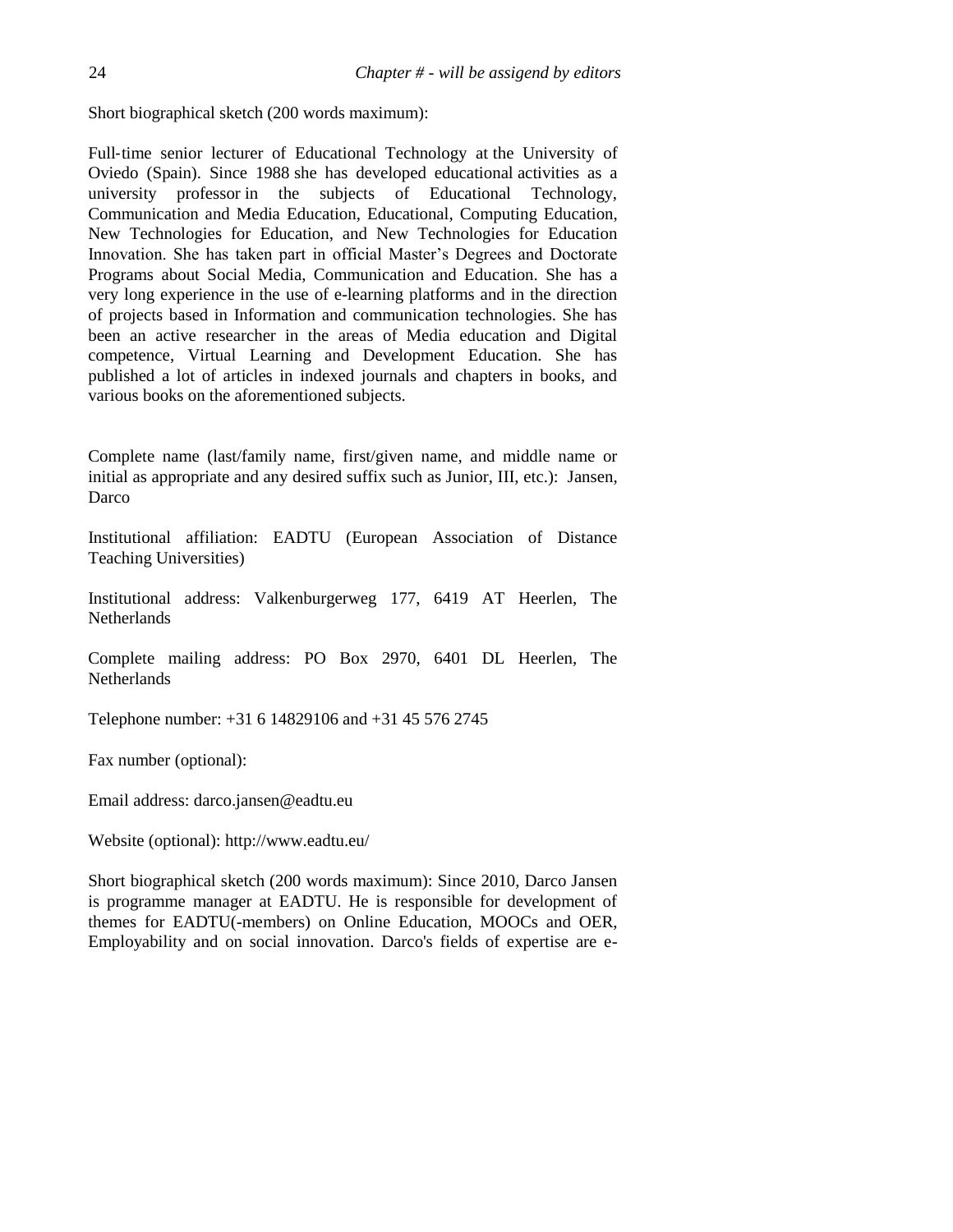Short biographical sketch (200 words maximum):

Full-time senior lecturer of Educational Technology at the University of Oviedo (Spain). Since 1988 she has developed educational activities as a university professor in the subjects of Educational Technology, Communication and Media Education, Educational, Computing Education, New Technologies for Education, and New Technologies for Education Innovation. She has taken part in official Master's Degrees and Doctorate Programs about Social Media, Communication and Education. She has a very long experience in the use of e-learning platforms and in the direction of projects based in Information and communication technologies. She has been an active researcher in the areas of Media education and Digital competence, Virtual Learning and Development Education. She has published a lot of articles in indexed journals and chapters in books, and various books on the aforementioned subjects.

Complete name (last/family name, first/given name, and middle name or initial as appropriate and any desired suffix such as Junior, III, etc.): Jansen, Darco

Institutional affiliation: EADTU (European Association of Distance Teaching Universities)

Institutional address: Valkenburgerweg 177, 6419 AT Heerlen, The **Netherlands** 

Complete mailing address: PO Box 2970, 6401 DL Heerlen, The **Netherlands** 

Telephone number: +31 6 14829106 and +31 45 576 2745

Fax number (optional):

Email address: darco.jansen@eadtu.eu

Website (optional): http://www.eadtu.eu/

Short biographical sketch (200 words maximum): Since 2010, Darco Jansen is programme manager at EADTU. He is responsible for development of themes for EADTU(-members) on Online Education, MOOCs and OER, Employability and on social innovation. Darco's fields of expertise are e-